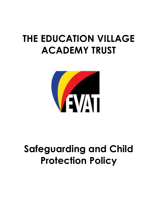# **THE EDUCATION VILLAGE ACADEMY TRUST**



# **Safeguarding and Child Protection Policy**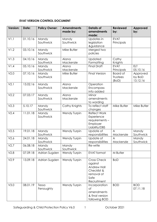# **EVAT VERSION CONTROL DOCUMENT**

| <b>Version:</b> | Date:    | <b>Policy Owner:</b> | <b>Amendments</b><br>made by: | <b>Details of</b><br><b>amendments</b><br>made:                                                         | <b>Reviewed</b><br>by:               | Approved<br>by:                |
|-----------------|----------|----------------------|-------------------------------|---------------------------------------------------------------------------------------------------------|--------------------------------------|--------------------------------|
| V1.1            | 01.10.16 | Mandy<br>Southwick   | Mandy<br>Southwick            | Updates in<br>legislation<br>&guidance                                                                  | <b>EVAT</b><br>Principals            |                                |
| V1.2            | 03.10.16 | Mandy<br>Southwick   | Mike Butler                   | Merged two<br>policies                                                                                  |                                      |                                |
| V1.3            | 04.10.16 | Mandy<br>Southwick   | Alana<br>Mackenzie            | Updated<br>Formatting                                                                                   | Cathy<br>Knights                     |                                |
| V1.4            | 05.10.16 | Mandy<br>Southwick   | Alana<br>Mackenzie            | <b>Final Draft</b>                                                                                      | <b>EVAT</b><br>Principals            | <b>ELT</b><br>05.10.16         |
| V2.0            | 07.10.16 | Mandy<br>Southwick   | Mike Butler                   | <b>Final Version</b>                                                                                    | <b>Board of</b><br>Trustees<br>(BOD) | Approved<br>by BoD<br>13.12.16 |
| V2.1            | 13.02.16 | Mandy<br>Southwick   | Alana<br>Mackenzie            | Operation<br>Encompass<br>info added                                                                    |                                      |                                |
| V2.2            | 07.03.17 | Mandy<br>Southwick   | Alana<br>Mackenzie            | Minor<br>amendments<br>to wording                                                                       |                                      |                                |
| V2.3            | 5.10.17  | Mandy<br>Southwick   | Cathy Knights                 | To reflect staff<br>changes                                                                             | Mike Butler                          | Mike Butler                    |
| V2.4            | 11.01.18 | Mandy<br>Southwick   | <b>Wendy Turpin</b>           | <b>Reflect Work</b><br>Experience<br>requirements-<br>Employer<br>Liability/DBS                         |                                      |                                |
| V2.5            | 19.01.18 | Mandy<br>Southwick   | <b>Wendy Turpin</b>           | Update of<br>responsibilities                                                                           | $\overline{A}$<br>Mackenzie          | Mandy<br>Southwick             |
| V2.6            | 24.01.18 | Mandy<br>Southwick   | <b>Wendy Turpin</b>           | Update of<br>responsibilities                                                                           | A<br>Mackenzie                       | Mandy<br>Southwick             |
| V2.7            | 06.08.18 | Mandy<br>Southwick   | Mandy<br>Southwick            | Re-write                                                                                                |                                      |                                |
| V2.8            | 07.09.18 | Adrian Sugden        | <b>Wendy Turpin</b>           | <b>EVAT</b> format                                                                                      | M Butler                             |                                |
| V2.9            | 13.09.18 | Adrian Sugden        | Wendy Turpin                  | <b>Cross Check</b><br>against<br><b>Andrew Hall</b><br>Checklist &<br>removal of<br>Safe<br>Recruitment | <b>BoD</b>                           |                                |
| V3.0            | 08.01.19 | Tessa<br>Fenoughty   | <b>Wendy Turpin</b>           | Incorporation<br>of<br>amendments<br>& final version<br>following BOD                                   | <b>BOD</b>                           | <b>BOD</b><br>07.11.18         |

Safeguarding & Child Protection Policy V6.0 1 October 2021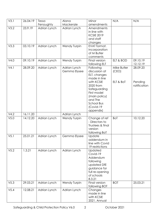| V3.1             | 26.04.19 | Tessa                     | Alana                        | Minor                                                                                                                                                                                    | N/A                               | N/A                                 |
|------------------|----------|---------------------------|------------------------------|------------------------------------------------------------------------------------------------------------------------------------------------------------------------------------------|-----------------------------------|-------------------------------------|
| V3.2             | 23.9.19  | Fenoughty<br>Adrian Lynch | Mackenzie<br>Adrian Lynch    | amendments<br>Amendments<br>in line with<br><b>KCSIE 2019</b><br>and staff<br>changes                                                                                                    |                                   |                                     |
| V3.3             | 03.10.19 | Adrian Lynch              | Wendy Turpin                 | EVAT format.<br>Incorporation<br>of M Butler<br>comments                                                                                                                                 |                                   |                                     |
| V4.0             | 09.10.19 | Adrian Lynch              | Wendy Turpin                 | Final version<br>following ELT                                                                                                                                                           | ELT & BOD                         | 09.10.19<br>12.12.19                |
| V4.1             | 28.09.20 | Adrian Lynch              | Adrian Lynch<br>Gemma Elysee | Following<br>discussion at<br>ELT, changes<br>made in line<br>with KCSIE<br>2020 from<br>Safeguarding<br>First model<br>(main policy)<br>and The<br>School Bus<br>(Covid-19<br>appendix) | Mike Butler<br>(CEO)<br>ELT & BOT | 28.09.20<br>Pending<br>ratification |
| V4.2             | 16.11.20 |                           | Adrian Lynch                 |                                                                                                                                                                                          |                                   |                                     |
| V5.0             | 14.12.20 | Adrian Lynch              | <b>Wendy Turpin</b>          | Change of ref<br>- Directors to<br>Trustees & final<br>version<br>following BoT                                                                                                          | <b>BoT</b>                        | 10.12.20                            |
| V <sub>5.1</sub> | 25.01.21 | Adrian Lynch              | Gemma Elysee                 | Update<br>addendum in<br>line with Covid<br>19 restrictions                                                                                                                              |                                   |                                     |
| V5.2             | 1.3.21   | Adrian Lynch              | Adrian Lynch                 | Updated<br>Covid-19<br>Addendum<br>following<br>updated DfE<br>guidance for<br>full re-opening<br>of schools<br>8.3.21                                                                   |                                   |                                     |
| V5.3             | 29.03.21 | Adrian Lynch              | Wendy Turpin                 | Final version<br>following BOT                                                                                                                                                           | <b>BOT</b>                        | 25.03.21                            |
| V5.4             | 12.08.21 | Adrian Lynch              | Adrian Lynch                 | Changes<br>made in line<br>with KCSIE<br>2021. Annual                                                                                                                                    |                                   |                                     |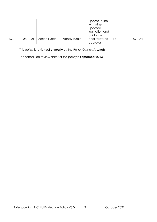|      |          |              |                     | update in line<br>with other<br>updated<br>legislation and<br>guidance. |            |          |
|------|----------|--------------|---------------------|-------------------------------------------------------------------------|------------|----------|
| V6.0 | 08.10.21 | Adrian Lynch | <b>Wendy Turpin</b> | Final following<br>approval                                             | <b>BoT</b> | 07.10.21 |

This policy is reviewed **annually** by the Policy Owner: **A Lynch**

The scheduled review date for this policy is **September 2023**.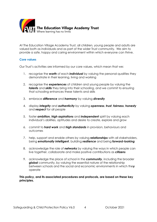

At The Education Village Academy Trust, all children, young people and adults are valued both as individuals and as part of the wider Trust community. We aim to provide a safe, happy and caring environment within which everyone can thrive.

## **Core values**

Our Trust's activities are informed by our core values, which mean that we:

- 1. recognise the *worth* of each *individual* by valuing the personal qualities they demonstrate in their learning, living and working
- 2. recognise the *experiences* of children and young people by valuing the *talents* and *skills* they bring into their schooling, and we commit to ensuring that schooling enhances these talents and skills
- 3. embrace *difference* and *harmony* by valuing *diversity*
- 4. display *integrity* and *authenticity* by valuing *openness*, *trust*, *fairness*, *honesty* and *respect* for all people
- 5. foster *ambition, high aspirations* and *independent* spirit by valuing each individual's abilities, aptitudes and desire to create, explore and grow
- 6. commit to *hard work* and *high standards* in provision, behaviours and outcomes
- 7. help, support and enable others by valuing *relationships* with all stakeholders, being *emotionally intelligent*, building *resilience* and being *forward-looking*
- 8. acknowledge the role of *networks* by valuing the ways in which people can live together, collaborate and make positive contributions as *citizens*
- 9. acknowledge the place of school in the *community*, including the broader *global* community, by valuing the essential nature of the relationship between schools and the social and economic environments in which the**y**  operate

**This policy, and its associated procedures and protocols, are based on these key principles.**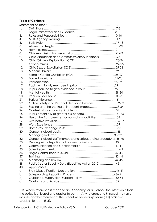# **Table of Contents:**

| 1.       |                                                                |  |
|----------|----------------------------------------------------------------|--|
| 2.       |                                                                |  |
| 3.       |                                                                |  |
| 4.       |                                                                |  |
| 5.       |                                                                |  |
| 6.       |                                                                |  |
| 7.       |                                                                |  |
| 8.       |                                                                |  |
| 9.       | Child Abduction and Community Safety Incidents23               |  |
| 10.      |                                                                |  |
| 11.      |                                                                |  |
| 12.      |                                                                |  |
| 13.      |                                                                |  |
| 14.      |                                                                |  |
| 15.      |                                                                |  |
| 16.      |                                                                |  |
| 17.      |                                                                |  |
| 18.      |                                                                |  |
| 19.      |                                                                |  |
| 20.      |                                                                |  |
| 21.      |                                                                |  |
| 22.      | Online Safety and Personal Electronic Devices32-33             |  |
| 23.      | Sexting and the sharing of indecent images33-34                |  |
| 24.      |                                                                |  |
| 25.      | Pupils potentially at greater risk of harm34-35                |  |
| 26.      | Use of the Trust premises for non-school activities36          |  |
| 27.      |                                                                |  |
| 28.      |                                                                |  |
| 29.      |                                                                |  |
| 30.      |                                                                |  |
| 31.      |                                                                |  |
| 32.      | Concerns about staff members and safeguarding procedures 35-40 |  |
| 33.      | Dealing with allegations of abuse against staff40              |  |
| 34.      |                                                                |  |
| 35.      | Safer Recruitment                                              |  |
| 36.      |                                                                |  |
| 37.      |                                                                |  |
| 38.      |                                                                |  |
| 39.      | Public Sector Equality Duty (Equalities Action 2010)  45       |  |
| 40.      | Appendices                                                     |  |
| a)       |                                                                |  |
| b)       |                                                                |  |
| $\circ)$ |                                                                |  |
| d)       |                                                                |  |

N.B. Where reference is made to an 'Academy' or a 'School' the intention is that the policy is universal and applies to both. Any reference to Principal may also include another member of the Executive Leadership Team (ELT) or Senior Leadership team (SLT).

Safeguarding & Child Protection Policy V6.0 5 Corober 2021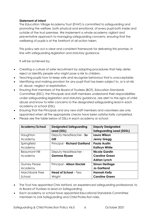# **Statement of Intent**

The Education Village Academy Trust (EVAT) is committed to safeguarding and promoting the welfare, both physical and emotional, of every pupil both inside and outside of the trust premises. We implement a whole-academy vigilant and preventative approach to managing safeguarding concerns, ensuring that the wellbeing of pupils is at the forefront of all action taken.

This policy sets out a clear and consistent framework for delivering this promise, in line with safeguarding legislation and statutory guidance.

It will be achieved by:

- Creating a culture of safer recruitment by adopting procedures that help deter, reject or identify people who might pose a risk to children.
- Teaching pupils how to keep safe and recognise behaviour that is unacceptable.
- Identifying and making provision for any pupil that has been subject to, or is at risk of, abuse, neglect or exploitation.
- Ensuring that members of the Board of Trustees (BOT), Education Standards Committee (ESC), the Principals and staff members understand their responsibilities under safeguarding legislation and statutory guidance, are alert to the signs of child abuse and know to refer concerns to the designated safeguarding lead in each academy or school (DSL).
- Ensuring that the Principals and any new staff members and volunteers are only appointed when all the appropriate checks have been satisfactorily completed.

| Academy/School       | <b>Designated Safeguarding</b> | <b>Deputy Designated</b>        |  |
|----------------------|--------------------------------|---------------------------------|--|
|                      | Lead (DSL)                     | <b>Safeguarding Lead (DDSL)</b> |  |
| Haughton             | Deputy Headteacher - Su        | <b>Laura Wilson</b>             |  |
| Academy              | Gill                           | <b>Jenny Gregg</b>              |  |
| Springfield          | Principal - Richard Gartland   | <b>Paula Austin</b>             |  |
| Academy              |                                | <b>Kathryn White</b>            |  |
| <b>Beaumont Hill</b> | Deputy Headteacher -           | <b>Nicole Garstin</b>           |  |
| Academy              | <b>Gemma Elysee</b>            | <b>Caroline Green</b>           |  |
|                      |                                | <b>Adrian Lynch</b>             |  |
| <b>Gurney Pease</b>  | Principal - Alison Sinclair    | <b>Simon Heritage</b>           |  |
| Academy              |                                | <b>Jo Gartland</b>              |  |
| Marchbank Free       | <b>Head of School - Tess</b>   | <b>Hannah Kelly</b>             |  |
| School               | Wright                         | <b>Caroline Green</b>           |  |

• Please see the table below of DSLs in each academy or school:

- The Trust has appointed Chris Ashford, an experienced safeguarding professional, to its Board of Trustees to lead on Safeguarding.
- Each academy or school have appointed Educational Standards Committee members to Link Safeguarding and Child Protection roles.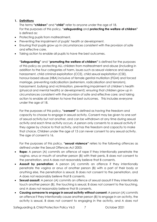# **1. Definitions**

The terms **"children"** and **"child"** refer to anyone under the age of 18. For the purposes of this policy, "**safeguarding** and **protecting the welfare of children"**  is defined as:

- Protecting pupils from maltreatment.
- Preventing the impairment of pupils' health or development.
- Ensuring that pupils grow up in circumstances consistent with the provision of safe and effective care.
- Taking action to enable all pupils to have the best outcomes.

**"Safeguarding"** and "**promoting the welfare of children"** is defined for the purposes of this policy as: protecting ALL children from maltreatment and abuse (including in addition to the four categories of harm, issues such as sexual violence and sexual harassment, child criminal exploitation (CCE), child sexual exploitation (CSE), honour-based abuse (HBA) inclusive of female genital mutilation (FGM) and forced marriage, preventing radicalisation (extremism, radicalisation and terrorism), harassment, bullying and victimisation, preventing impairment of children's health (physical and mental health) or development); ensuring that children grow up in circumstances consistent with the provision of safe and effective care; and taking action to enable all children to have the best outcomes. This includes everyone under the age of 18.

For the purposes of this policy, **"consent"** is defined as having the freedom and capacity to choose to engage in sexual activity. Consent may be given to one sort of sexual activity but not another, and can be withdrawn at any time during sexual activity and each time activity occurs. A person only consents to a sexual activity if they agree by choice to that activity, and has the freedom and capacity to make that choice. Children under the age of 13 can never consent to any sexual activity. The age of consent is 16.

For the purposes of this policy, **"sexual violence"** refers to the following offences as defined under the Sexual Offences Act 2003:

- **Rape:** A person (A) commits an offence of rape if they intentionally penetrate the vagina, anus or mouth of another person (B) with their penis, B does not consent to the penetration, and A does not reasonably believe that B consents.
- **Assault by penetration:** A person (A) commits an offence if they intentionally penetrate the vagina or anus of another person (B) with a part of their body or anything else, the penetration is sexual, B does not consent to the penetration, and A does not reasonably believe that B consents.
- **Sexual assault:** A person (A) commits an offence of sexual assault if they intentionally touch another person (B), the touching is sexual, B does not consent to the touching, and A does not reasonably believe that B consents.
- **Causing someone to engage in sexual activity without consent:** A person (A) commits an offence if they intentionally cause another person (B) to engage in an activity, the activity is sexual, B does not consent to engaging in the activity, and A does not

Safeguarding & Child Protection Policy V6.0 7 7 0ctober 2021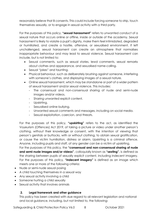reasonably believe that B consents. This could include forcing someone to strip, touch themselves sexually, or to engage in sexual activity with a third party.

For the purposes of this policy, **"sexual harassment"** refers to unwanted conduct of a sexual nature that occurs online or offline, inside or outside of the academy. Sexual harassment is likely to violate a pupil's dignity, make them feel intimidated, degraded or humiliated, and create a hostile, offensive, or sexualised environment. If left unchallenged, sexual harassment can create an atmosphere that normalises inappropriate behaviour and may lead to sexual violence. Sexual harassment can include, but is not limited to:

- Sexual comments, such as sexual stories, lewd comments, sexual remarks about clothes and appearance, and sexualised name-calling.
- Sexual "jokes" and taunting.
- Physical behaviour, such as deliberately brushing against someone, interfering with someone's clothes, and displaying images of a sexual nature.
- Online sexual harassment, which may be standalone or part of a wider pattern of sexual harassment and/or sexual violence. This includes:
	- The consensual and non-consensual sharing of nude and semi-nude images and/or videos.
	- Sharing unwanted explicit content.
	- Upskirting.
	- Sexualised online bullying.
	- Unwanted sexual comments and messages, including on social media.
	- Sexual exploitation, coercion, and threats.

For the purposes of this policy, **"upskirting"** refers to the act, as identified the Voyeurism (Offences) Act 2019, of taking a picture or video under another person's clothing, without their knowledge or consent, with the intention of viewing that person's genitals or buttocks, with or without clothing, to obtain sexual gratification, or cause the victim humiliation, distress or alarm. Upskirting is a criminal offence. Anyone, including pupils and staff, of any gender can be a victim of upskirting.

For the purposes of this policy, the **"consensual and non-consensual sharing of nude and semi-nude images and/or videos"**, colloquially known as **"sexting"**, is defined as the sharing between pupils of sexually explicit content, including indecent imagery. For the purposes of this policy, **"indecent imagery"** is defined as an image which meets one or more of the following criteria:

- Nude or semi-nude sexual posing
- A child touching themselves in a sexual way
- Any sexual activity involving a child
- Someone hurting a child sexually
- Sexual activity that involves animals

# **2. Legal framework and other guidance**

This policy has been created with due regard to all relevant legislation and national and local guidance, including, but not limited to, the following:

Safeguarding & Child Protection Policy V6.0 8 Corober 2021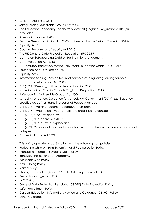- Children Act 1989/2004
- Safeguarding Vulnerable Groups Act 2006
- The Education (Academy Teachers' Appraisal) (England) Regulations 2012 (as amended)
- Sexual Offences Act 2003
- Female Genital Mutilation Act 2003 (as inserted by the Serious Crime Act 2015)
- Equality Act 2010
- Counter-Terrorism and Security Act 2015
- The UK General Data Protection Reaulation (UK GDPR)
- Darlington Safeguarding Children Partnership Arrangements
- Data Protection Act 2018
- DfE Statutory framework for the Early Years Foundation Stage (EYFS) 2017
- Education Act 2002 Section 175
- Equality Act 2010
- Information Sharing: Advice for Practitioners providing safeguarding services
- Freedom of Information Act 2000
- DfE (2021) 'Keeping children safe in education 2021
- Non-Maintained Special Schools (England) Regulations 2015
- Safeguarding Vulnerable Groups Act 2006
- School Attendance: Guidance for Schools HM Government (2014) 'Multi-agency practice guidelines: Handling cases of Forced Marriage'
- DfE (2018) 'Working together to safeguard children'
- DfE (2015) 'What to do if you're worried a child is being abused'
- DfE (2015) 'The Prevent duty'
- DfE (2018) 'Childcare Act 2018'
- DfE (2018) 'Child sexual exploitation'
- DfE (2021) 'Sexual violence and sexual harassment between children in schools and colleges
- Domestic Abuse Act 2021

This policy operates in conjunction with the following trust policies:

- Protecting Children from Extremism and Radicalisation Policy
- Managing Allegations Against Staff Policy
- Behaviour Policy for each Academy
- Whistleblowing Policy
- Anti-Bullying Policy
- Visitor Policy
- Photography Policy (Annex 3 GDPR Data Projection Policy)
- Records Management Policy
- LAC Policy
- General Data Protection Regulation (GDPR) Data Protection Policy
- Safer Recruitment Policy
- Careers Education, Information, Advice and Guidance (CEIAG) Policy
- Other Guidance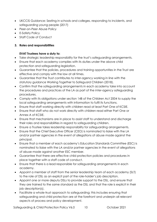- UKCCIS Guidance: Sexting in schools and colleges, responding to incidents, and safeguarding young people (2017)
- Peer-on-Peer Abuse Policy
- E-Safety Policy
- Staff Code of Conduct

# **3. Roles and responsibilities**

# **EVAT Trustees have a duty to:**

- Take strategic leadership responsibility for the trust's safeguarding arrangements.
- Ensure that each academy complies with its duties under the above child protection and safeguarding legislation.
- Guarantee that the policies, procedures and training opportunities in the Trust are effective and comply with the law at all times.
- Guarantee that the Trust contributes to inter-agency working in line with the statutory guidance Working Together to Safeguard Children (2018).
- Confirm that the safeguarding arrangements in each academy take into account the procedures and practices of the LA as part of the inter-agency safeguarding procedures.
- Comply with its obligations under section 14B of the Children Act 2004 to supply the local safeguarding arrangements with information to fulfil its functions.
- Ensure that staff working directly with children read at least Part One of KCSIE.
- Ensure that staff who do not work directly with children read either Part One or Annex A of KCSIE.
- Ensure that mechanisms are in place to assist staff to understand and discharge their roles and responsibilities in regard to safeguarding children.
- Ensure a Trustee takes leadership responsibility for safeguarding arrangements.
- Ensure that the Chief Executive Officer (CEO) is nominated to liaise with the LA and/or partner agencies in the event of allegations of abuse made against the principal.
- Ensure that a member of each academy's Education Standards Committee (ESC) is nominated to liaise with the LA and/or partner agencies in the event of allegations of abuse made against another ESC member.
- Guarantee that there are effective child protection policies and procedures in place together with a staff code of conduct.
- Ensure that there is a lead responsible for safeguarding arrangements in each academy.
- Appoint a member of staff from the senior leadership team of each academy (SLT) to the role of DSL as an explicit part of the role-holder's job description.
- Appoint one or more deputy DSLs to provide support to the DSL, and ensure that they are trained to the same standard as the DSL and that the role is explicit in their job description(s).
- Facilitate a whole-trust approach to safeguarding; this includes ensuring that safeguarding and child protection are at the forefront and underpin all relevant aspects of process and policy development.

Safeguarding & Child Protection Policy V6.0 10 0ctober 2021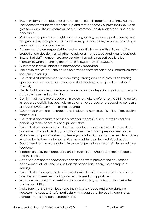- Ensure systems are in place for children to confidently report abuse, knowing that their concerns will be treated seriously, and they can safely express their views and give feedback. These systems will be well-promoted, easily understood, and easily accessible.
- Make sure that pupils are taught about safeguarding, including protection against dangers online, through teaching and learning opportunities, as part of providing a broad and balanced curriculum.
- Adhere to statutory responsibilities to check staff who work with children, taking proportionate decisions on whether to ask for any checks beyond what is required.
- Ensure that staff members are appropriately trained to support pupils to be themselves when attending the academy, e.g. if they are LGBTQ+.
- Guarantee that volunteers are appropriately supervised.
- Make sure that at least one person on any appointment panel has undertaken safer recruitment training.
- Ensure that all staff members receive safeguarding and child protection training updates, such as e-bulletins, emails and staff meetings, as required, but at least annually.
- Certify that there are procedures in place to handle allegations against staff, supply staff, volunteers and contractors.
- Confirm that there are procedures in place to make a referral to the DBS if a person in regulated activity has been dismissed or removed due to safeguarding concerns or would have been had they not resigned.
- Guarantee that there are procedures in place to handle pupils' allegations against other pupils.
- Ensure that appropriate disciplinary procedures are in place, as well as policies pertaining to the behaviour of pupils and staff.
- Ensure that procedures are in place in order to eliminate unlawful discrimination, harassment and victimisation, including those in relation to peer-on-peer abuse.
- Make sure that pupils' wishes and feelings are taken into account when determining what action to take and what services to provide to protect individual pupils.
- Guarantee that there are systems in place for pupils to express their views and give feedback.
- Establish an early help procedure and ensure all staff understand the procedure and their role in it.
- Appoint a designated teacher in each academy to promote the educational achievement of LAC and ensure that this person has undergone appropriate training.
- Ensure that the designated teacher works with the virtual schools head to discuss how the pupil premium funding can best be used to support LAC.
- Introduce mechanisms to assist staff in understanding and discharging their roles and responsibilities.
- Make sure that staff members have the skills, knowledge and understanding necessary to keep LAC safe, particularly with regards to the pupil's legal status, contact details and care arrangements.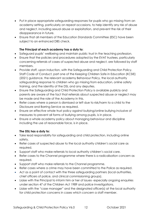- Put in place appropriate safeguarding responses for pupils who go missing from an academy setting, particularly on repeat occasions, to help identify any risk of abuse and neglect, including sexual abuse or exploitation, and prevent the risk of their disappearance in future.
- Ensure that all members of the Education Standards Committee (ESC) have been subject to an enhanced DBS check.

# **The Principal of each academy has a duty to:**

- Safeguard pupils' wellbeing and maintain public trust in the teaching profession.
- Ensure that the policies and procedures adopted by the EVAT trustees, particularly concerning referrals of cases of suspected abuse and neglect, are followed by staff members.
- Provide staff, upon induction, with the Safeguarding and Child Protection Policy, Staff Code of Conduct, part one of the Keeping Children Safe in Education (KCSIE) (2021) guidance, the relevant academy Behaviour Policy, the local authority safeguarding response to children who go missing from education, online safety training, and the identity of the DSL and any deputies.
- Ensure the Safeguarding and Child Protection Policy is available publicly and parents are aware of the fact that referrals about suspected abuse or neglect may be made and the role of the Academy in this.
- Refer cases where a person is dismissed or left due to risk/harm to a child to the Disclosure and Barring Service as required.
- Ensure an effective whole trust policy against bullying/online bullying inclusive of measures to prevent all forms of bullying among pupils, is in place.
- Ensure a whole academy policy about managing behaviour and discipline including the use of reasonable force, is in place.

# **The DSL has a duty to:**

- Take lead responsibility for safeguarding and child protection, including online safety.
- Refer cases of suspected abuse to the local authority children's social care as required.
- Support staff who make referrals to local authority children's social care.
- Refer cases to the Channel programme where there is a radicalisation concern as required.
- Support staff who make referrals to the Channel programme.
- Refer cases where a crime may have been committed to the Police as required.
- Act as a point of contact with the three safeguarding partners (local authorities, chief officers of police, and clinical commissioning groups).
- Liaise with the Principal to inform him or her of issues- especially ongoing enquiries under section 47 of the Children Act 1989 and police investigations.
- Liaise with the "case manager" and the designated officer(s) at the local authority for child protection concerns in cases which concern a staff member.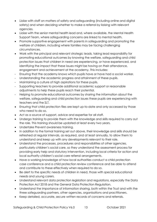- Liaise with staff on matters of safety and safeguarding (including online and digital safety) and when deciding whether to make a referral by liaising with relevant agencies.
- Liaise with the senior mental health lead and, where available, the Mental Health Support Team, where safeguarding concerns are linked to mental health.
- Promote supportive engagement with parents in safeguarding and promoting the welfare of children, including where families may be facing challenging circumstances.
- Work with the principal and relevant strategic leads, taking lead responsibility for promoting educational outcomes by knowing the welfare, safeguarding and child protection issues that children in need are experiencing, or have experienced, and identifying the impact that these issues might be having on their attendance, engagement and achievement at the academy. This includes:
- Ensuring that the academy knows which pupils have or have had a social worker.
- Understanding the academic progress and attainment of these pupils.
- Maintaining a culture of high aspirations for these pupils.
- Supporting teachers to provide additional academic support or reasonable adjustments to help these pupils reach their potential.
- Helping to promote educational outcomes by sharing the information about the welfare, safeguarding and child protection issues these pupils are experiencing with teachers and the SLT.
- Ensuring that child protection files are kept up-to-date and only accessed by those who need to do so.
- Act as a source of support, advice and expertise for all staff.
- Undergo training to provide them with the knowledge and skills required to carry out the role. This training should be updated at least every two years.
- Undertake Prevent awareness training.
- In addition to the formal training set out above, their knowledge and skills should be refreshed at regular intervals, as required, and at least annually, to allow them to understand and keep up with any developments relevant to their role.
- Understand the processes, procedures and responsibilities of other agencies, particularly children's social care, so they understand the assessment process for providing early help and statutory intervention, including local criteria for action and local authority children's social care referral arrangements.
- Have a working knowledge of how local authorities conduct a child protection case conference and a child protection review conference and be able to attend and contribute to these effectively when required to do so.
- Be alert to the specific needs of children in need, those with special educational needs and young carers.
- Understand relevant data protection legislation and regulations, especially the Data Protection Act 2018 and the General Data Protection Regulation.
- Understand the importance of information sharing, both within the Trust and with the three safeguarding partners, other agencies, organisations and practitioners.
- Keep detailed, accurate, secure written records of concerns and referrals.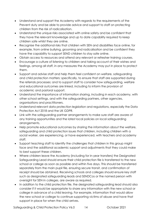- Understand and support the Academy with regards to the requirements of the Prevent duty and be able to provide advice and support to staff on protecting children from the risk of radicalisation.
- Understand the unique risks associated with online safety and be confident that they have the relevant knowledge and up to date capability required to keep children safe whilst they are online.
- Recognise the additional risks that children with SEN and disabilities face online, for example, from online bullying, grooming and radicalisation and be confident they have the capability to support SEND children to stay safe online.
- Obtain access to resources and attend any relevant or refresher training courses.
- Encourage a culture of listening to children and taking account of their wishes and feelings, among all staff, in any measures the Academy may put in place to protect them.
- Support and advise staff and help them feel confident on welfare, safeguarding and child protection matters: specifically, to ensure that staff are supported during the referrals processes; and to support staff to consider how safeguarding, welfare and educational outcomes are linked, including to inform the provision of academic and pastoral support.
- Understand the importance of information sharing, including in each academy, with other school settings, and with the safeguarding partners, other agencies, organisations and practitioners.
- Understand relevant data protection legislation and regulations, especially the Data Protection Act 2018 and the UK GDPR.
- Link with the safeguarding partner arrangements to make sure staff are aware of any training opportunities and the latest local policies on local safeguarding arrangements.
- Help promote educational outcomes by sharing the information about the welfare, safeguarding and child protection issues that children, including children with a social worker, are experiencing, or have experienced, with teachers and academy staff.
- Support teaching staff to identify the challenges that children in this group might face and the additional academic support and adjustments that they could make to best support these children.
- Where children leave the Academy (including for in-year transfers) the Designated Safeguarding Lead should ensure their child protection file is transferred to the new school or college as soon as possible and within five days. This should be transferred separately from the main pupil file, ensuring secure transit, and confirmation of receipt should be obtained. Receiving schools and colleges should ensure key staff such as designated safeguarding leads and SENDCos or the named person with oversight for SEN in colleges, are aware as required.
- In addition to the child protection file, the designated safeguarding lead should also consider if it would be appropriate to share any information with the new school or college in advance of a child leaving. For example, information that would allow the new school or college to continue supporting victims of abuse and have that support in place for when the child arrives.

Safeguarding & Child Protection Policy V6.0 14 October 2021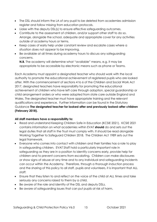- The DSL should inform the LA of any pupil to be deleted from academies admission register and follow missing from education protocols.
- Liaise with the deputy DSL(s) to ensure effective safeguarding outcomes.
- Contribute to the assessment of children, and/or support other staff to do so. Arrange, alongside the school, adequate and appropriate cover for any activities outside of academy hours or terms.
- Keep cases of early help under constant review and escalate cases where a situation does not appear to be improving.
- Be available at all times during academy hours to discuss any safeguarding concerns.

**N.B.** The academy will determine what "available" means, e.g. it may be appropriate to be accessible by electronic means such as phone or Teams.

Each Academy must appoint a designated teacher who should work with the local authority to promote the educational achievement of registered pupils who are looked after. With the commencement of sections 4 to 6 of the Children and Social Work Act 2017, designated teachers have responsibility for promoting the educational achievement of children who have left care through adoption, special guardianship or child arrangement orders or who were adopted from state care outside England and Wales. The designated teacher must have appropriate training and the relevant qualifications and experience. Further information can be found in the Statutory Guidance **The designated teacher for looked after and previously looked-after children (February 2018).**

# **All staff members have a responsibility to:**

- Read and understand Keeping Children Safe in Education (KCSIE 2021). KCSIE 2021 contains information on what academies within EVAT **should** do and sets out the legal duties that all staff in the Trust must comply with. It should be read alongside Working Together to Safeguard Children 2018. The Children Act 1989 sets out the legal framework.
- Everyone who comes into contact with children and their families has a role to play in safeguarding children. EVAT Staff hold a particularly important role in safeguarding as they are in a position to identify concerns early, provide help for children and to prevent concerns from escalating. Children can make disclosures or show signs of abuse at any time and to any individual and safeguarding incidents can occur within the Academy. Therefore, through a thorough induction process and the sharing of this policy to all staff, pupils and volunteers, it is important that ALL staff:
- Ensure that they listen to and reflect on the voice of the child at ALL times and take seriously any concerns raised to them by a child.
- Be aware of the role and identity of the DSL and deputy DSLs.
- Be aware of safeguarding issues that can put pupils at risk of harm.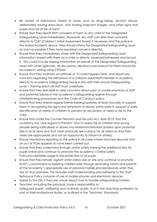- Be aware of behaviours linked to issues such as drug-taking, alcohol misuse, deliberately missing education, and sharing indecent images, and other signs that pupils may be at risk of harm.
- Ensure that they report ANY concerns of harm to any child to the Designated Safeguarding Lead immediately. (However, ALL staff can refer their concerns directly to CIAT (Children's Initial Assessment Team) if necessary and the police in the stated incidents above. They should inform the Designated Safeguarding Lead as soon as possible if they have reported concerns directly).
- Ensure that they immediately share with the Designated Safeguarding Lead information shared with them by a child or directly observed/witnessed and record it. This could include sharing information on behalf of the Designated Safeguarding Lead with other agencies. All discussions, decisions and reasons for them should be recorded in writing using CPOMS.
- Ensure that they maintain an attitude of 'it could happen here' and report any concerns regarding the behaviour of a child/an adult/staff member in academy directly to academy Safeguarding Leads in line with their annual Safeguarding Level 1 Training which all staff must undertake.
- Ensure that they feel able to raise concerns about poor or unsafe practices of staff and potential failures in the academy's safeguarding regime through whistleblowing procedures and the Code of Conduct policy.
- Ensure that they attend regular formal training/updates at least annually to support them in recognising the signs and symptoms of abuse, particularly in support of early identification of needs of children to prevent an escalation of need or risk to the child.
- Ensure that under the Counter Terrorism and Security Act, April 2015, that the academy has 'due regard to Prevent' and to assess risk of children and young people being radicalised or drawn into extremism/terrorism (based upon potential risks in local area and that clear protocols are in place for all visitors so that their views are appropriate and not an opportunity to influence others).
- Ensure mandatory reporting to the police in all cases where teachers discover that an act of FGM appears to have been carried out.
- Ensure that they understand through online safety training the additional risks for pupils online and continue to promote the academy's Online Safety Policy/acceptable usage in the protection of all pupils.
- Ensure that they remain vigilant whilst visitors are on site and continue to promote EVAT's commitment to keeping children safe through reminding visitors and parents of the academy's appropriate use of personal mobile phones/devices whilst they are on Trust premises. This includes staff understanding and adhering to the Staff Behaviour Policy inclusive of use of mobile phones and electronic devices.
- Speak to the DSL if they are unsure about how to handle safeguarding matters.
- Teachers, including the principal, have a responsibility to:
- Safeguard pupils' wellbeing and maintain public trust in the teaching profession as part of their professional duties, as outlined in the 'Teachers' Standards'.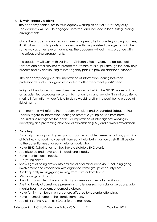# **4. 4. Multi -agency working**

 The academy contributes to Multi-agency working as part of its statutory duty. The academy will be fully engaged, involved, and included in local safeguarding arrangements.

Once the academy is named as a relevant agency by local safeguarding partners, it will follow its statutory duty to cooperate with the published arrangements in the same way as other relevant agencies. The academy will act in accordance with the safeguarding arrangements.

 The academy will work with Darlington Children's Social Care, the police, health services and other services to protect the welfare of its pupils, through the early help process and by contributing to inter-agency plans to provide additional support.

 The academy recognises the importance of information sharing between professionals and local agencies in order to effectively meet pupils' needs.

In light of the above, staff members are aware that whilst the GDPR places a duty on academies to process personal information fairly and lawfully, it is not a barrier to sharing information where failure to do so would result in the pupil being placed at risk of harm.

 Staff members will refer to the academy Principal and Designated Safeguarding Lead in regard to information sharing to protect a young person from harm The Trust also recognises the particular importance of inter-agency working in identifying and preventing child sexual exploitation (CSE) and criminal exploitation.

# **5. Early help**

Early help means providing support as soon as a problem emerges, at any point in a child's life. Any pupil may benefit from early help, but in particular, staff will be alert to the potential need for early help for pupils who:

- Have SEND (whether or not they have a statutory EHC plan).
- Are disabled and have specific additional needs.
- Have mental health needs.
- Are young carers.
- Show signs of being drawn into anti-social or criminal behaviour, including gang involvement and association with organised crime groups or county lines.
- Are frequently missing/going missing from care or from home
- Misuse drugs or alcohol.
- Are at risk of modern slavery, trafficking or sexual or criminal exploitation.
- Are in a family circumstance presenting challenges such as substance abuse, adult mental health problems or domestic abuse.
- Have family members in prison, or are affected by parental offending.
- Have returned home to their family from care.
- Are at risk of HBA, such as FGM or forced marriage.

Safeguarding & Child Protection Policy V6.0 17 0ctober 2021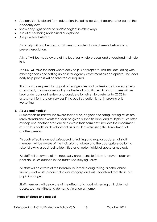- Are persistently absent from education, including persistent absences for part of the academy day.
- Show early signs of abuse and/or neglect in other ways.
- Are at risk of being radicalised or exploited.
- Are privately fostered.

Early help will also be used to address non-violent harmful sexual behaviour to prevent escalation.

All staff will be made aware of the local early help process and understand their role in it.

The DSL will take the lead where early help is appropriate. This includes liaising with other agencies and setting up an inter-agency assessment as appropriate. The local early help process will be followed as required.

Staff may be required to support other agencies and professionals in an early help assessment, in some cases acting as the lead practitioner. Any such cases will be kept under constant review and consideration given to a referral to CSCS for assessment for statutory services if the pupil's situation is not improving or is worsening.

## **6. Abuse and neglect**

 All members of staff will be aware that abuse, neglect and safeguarding issues are rarely standalone events that can be given a specific label and multiple issues often overlap one another. Staff are also aware that harm now includes the impairment of a child's health or development as a result of witnessing the ill-treatment of another person.

 Through effective annual safeguarding training and regular updates, all staff members will be aware of the indicators of abuse and the appropriate action to take following a pupil being identified as at potential risk of abuse or neglect.

 All staff will be aware of the necessary procedures to follow to prevent peer-onpeer abuse, as outlined in the Trust's Anti-Bullying Policy.

 All staff will be aware of the behaviours linked to drug taking, alcohol abuse, truancy and youth-produced sexual imagery, and will understand that these put pupils in danger.

 Staff members will be aware of the effects of a pupil witnessing an incident of abuse, such as witnessing domestic violence at home.

## **Types of abuse and neglect**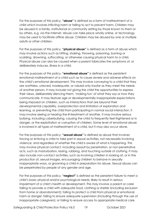For the purposes of this policy, **"abuse"** is defined as a form of maltreatment of a child which involves inflicting harm or failing to act to prevent harm. Children may be abused in a family, institutional or community setting by those known to them or by others, e.g. via the internet. Abuse can take place wholly online, or technology may be used to facilitate offline abuse. Children may be abused by one or multiple adults or other children.

For the purposes of this policy, **"physical abuse"** is defined as a form of abuse which may involve actions such as hitting, shaking, throwing, poisoning, burning or scalding, drowning, suffocating, or otherwise causing physical harm to a child. Physical abuse can also be caused when a parent fabricates the symptoms of, or deliberately induces, illness in a child.

For the purposes of this policy, **"emotional abuse"** is defined as the persistent emotional maltreatment of a child such as to cause severe and adverse effects on the child's emotional development. This may involve conveying to a child that they are worthless, unloved, inadequate, or valued only insofar as they meet the needs of another person. It may include not giving the child the opportunities to express their views, deliberately silencing them, 'making fun' of what they say or how they communicate. It may feature age or developmentally inappropriate expectations being imposed on children, such as interactions that are beyond their developmental capability, overprotection and limitation of exploration and learning, or preventing the child from participating in normal social interaction. It may involve seeing or hearing the ill-treatment of another. It may involve serious bullying, including cyberbullying, causing the child to frequently feel frightened or in danger, or the exploitation or corruption of children. Some level of emotional abuse is involved in all types of maltreatment of a child, but it may also occur alone.

For the purposes of this policy, **"sexual abuse"** is defined as abuse that involves forcing or enticing a child to take part in sexual activities, not necessarily involving violence, and regardless of whether the child is aware of what is happening. This may involve physical contact, including assault by penetration, or non-penetrative acts, such as masturbation, kissing, rubbing, and touching outside of clothing. It may also include non-contact activities, such as involving children in looking at, or in the production of, sexual images, encouraging children to behave in sexually inappropriate ways, or grooming a child in preparation for abuse. Sexual abuse can be perpetrated by people of any gender and age.

For the purposes of this policy, **"neglect"** is defined as the persistent failure to meet a child's basic physical and/or psychological needs, likely to result in serious impairment of a child's health or development. This may involve a parent or carer failing to provide a child with adequate food, clothing or shelter (including exclusion from home or abandonment); failing to protect a child from physical or emotional harm or danger; failing to ensure adequate supervision (including through the use of inappropriate caregivers); or failing to ensure access to appropriate medical care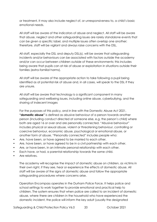or treatment. It may also include neglect of, or unresponsiveness to, a child's basic emotional needs.

All staff will be aware of the indicators of abuse and neglect. All staff will be aware that abuse, neglect and other safeguarding issues are rarely standalone events that can be given a specific label, and multiple issues often overlap one another; therefore, staff will be vigilant and always raise concerns with the DSL.

All staff, especially the DSL and deputy DSL(s), will be aware that safeguarding incidents and/or behaviours can be associated with factors outside the academy and/or can occur between children outside of these environments; this includes being aware that pupils can at risk of abuse or exploitation in situations outside their families (extra-familial harms).

All staff will be aware of the appropriate action to take following a pupil being identified as at potential risk of abuse and, in all cases, will speak to the DSL if they are unsure.

All staff will be aware that technology is a significant component in many safeguarding and wellbeing issues, including online abuse, cyberbullying, and the sharing of indecent images

For the purposes of this policy, and in line with the Domestic Abuse Act 2021, **"domestic abuse"** is defined as abusive behaviour of a person towards another person (including conduct directed at someone else, e.g. the person's child) where both are aged 16 or over and are personally connected. "Abusive behaviour" includes physical or sexual abuse, violent or threatening behaviour, controlling or coercive behaviour, economic abuse, psychological or emotional abuse, or another form of abuse. "Personally connected" includes people who:

- Are, have been, or have agreed to be married to each other.
- Are, have been, or have agreed to be in a civil partnership with each other.
- Are, or have been, in an intimate personal relationship with each other.
- Each have, or had, a parental relationship towards the same child.
- Are relatives.

The academy will recognise the impact of domestic abuse on children, as victims in their own right, if they see, hear or experience the effects of domestic abuse. All staff will be aware of the signs of domestic abuse and follow the appropriate safeguarding procedures where concerns arise.

 Operation Encompass operates in the Durham Police Force. It helps police and school settings to work together to provide emotional and practical help to children. The system ensures that when police are called to an incident of domestic abuse, where there are children in the household who have experienced the domestic incident, the police will inform the key adult (usually the designated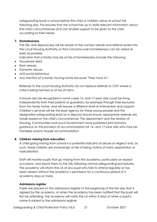safeguarding lead) in school before the child or children arrive at school the following day. This ensures that the school has up to date relevant information about the child's circumstances and can enable support to be given to the child according to their needs.

# **7. Homelessness**

The DSL and deputy(-ies) will be aware of the contact details and referral routes into the Local Housing Authority so that concerns over homelessness can be raised as early as possible.

Indicators that a family may be at risk of homelessness include the following:

- Household debt.
- Rent arrears.
- Domestic abuse.
- Anti-social behaviour.
- Any mention of a family moving home because "they have to".

Referrals to the Local Housing Authority do not replace referrals to CIAT where a child is being harmed or at risk of harm.

It should also be recognised in some cases 16- and 17-year olds could be living independently from their parents or guardians, for example through their exclusion from the family home, and will require a different level of intervention and support. Children's services will be the lead agency for these young people and the designated safeguarding lead (or a deputy) should ensure appropriate referrals are made based on the child's circumstances. The department and the Ministry of Housing, Communities and Local Government have published joint statutory guidance on the provision of accommodation for 16- and 17-year olds who may be homeless and/or require accommodation.

# **8. Children missing from education**

A child going missing from school is a potential indicator of abuse or neglect and, as such, these children are increasingly at risk of being victims of harm, exploitation or radicalisation.

Staff will monitor pupils that go missing from the academy, particularly on repeat occasions, and report them to the DSL following normal safeguarding procedures. The academy will inform the LA of any pupil who fails to attend regularly or has been absent without the academy's permission for a continuous period of 5 academy days or more.

# **Admissions register**

Pupils are placed on the admissions register at the beginning of the first day that is agreed by the academy, or when the academy has been notified that the pupil will first be attending. The academy will notify the LA within 5 days of when a pupil's name is added to the admissions register.

Safeguarding & Child Protection Policy V6.0 21 Cortober 2021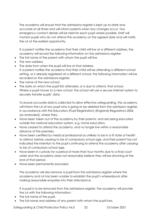The academy will ensure that the admissions register is kept up-to-date and accurate at all times and will inform parents when any changes occur. Two emergency contact details will be held for each pupil where possible. Staff will monitor pupils who do not attend the academy on the agreed date and will notify the LA at the earliest opportunity.

If a parent notifies the academy that their child will live at a different address, the academy will record the following information on the admissions register:

- The full name of the parent with whom the pupil will live
- The new address
- The date from when the pupil will live at that address If a parent notifies the academy that their child will be attending a different school setting, or is already registered at a different school, the following information will be recorded on the admissions register:
- The name of the new school.
- The date on which the pupil first attended, or is due to attend, that school. Where a pupil moves to a new school, the school will use a secure internet system to securely transfer pupils' data.

To ensure accurate data is collected to allow effective safeguarding, the academy will inform the LA of any pupil who is going to be deleted from the admission register, in accordance with the Education (Pupil Registration) (England) Regulations 2006 (as amended), where they:

- Have been taken out of the academy by their parents, and are being educated outside the national education system, e.g. home education.
- Have ceased to attend the academy, and no longer live within a reasonable distance of the premises.
- Have been certified by medical professional as unlikely to be in a fit state of health to attend, before ceasing to be of compulsory school age, and their parent has not indicated the intention to the pupil continuing to attend the academy after ceasing to be of compulsory school age.
- Have been in custody for a period of more than four months due to a final court order and the academy does not reasonably believe they will be returning at the end of that period.
- Have been permanently excluded.

The academy will also remove a pupil from the admissions register where the academy and LA has been unable to establish the pupil's whereabouts after making reasonable enquiries into their attendance.

If a pupil is to be removed from the admissions register, the academy will provide the LA with the following information:

- The full name of the pupil.
- The full name and address of any parent with whom the pupil lives.

Safeguarding & Child Protection Policy V6.0 22 Cortober 2021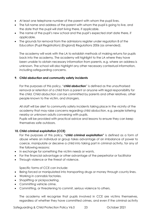- At least one telephone number of the parent with whom the pupil lives.
- The full name and address of the parent with whom the pupil is going to live, and the date that the pupil will start living there, if applicable.
- The name of the pupil's new school and the pupil's expected start date there, if applicable.
- The grounds for removal from the admissions register under regulation 8 of the Education (Pupil Registration) (England) Regulations 2006 (as amended).

The academy will work with the LA to establish methods of making returns for pupils back into the academy. The academy will highlight to the LA where they have been unable to obtain necessary information from parents, e.g. where an address is unknown. The school will also highlight any other necessary contextual information, including safeguarding concerns.

# **9. Child abduction and community safety incidents**

For the purposes of this policy, "**child abduction**" is defined as the unauthorised removal or retention of a child from a parent or anyone with legal responsibility for the child. Child abduction can be committed by parents and other relatives, other people known to the victim, and strangers.

All staff will be alert to community safety incidents taking place in the vicinity of the academy that may raise concerns regarding child abduction, e.g. people loitering nearby or unknown adults conversing with pupils.

Pupils will be provided with practical advice and lessons to ensure they can keep themselves safe outdoors.

# **10. Child criminal exploitation (CCE)**

For the purposes of this policy, **"child criminal exploitation"** is defined as a form of abuse where an individual or group takes advantage of an imbalance of power to coerce, manipulate or deceive a child into taking part in criminal activity, for any of the following reasons:

- In exchange for something the victim needs or wants.
- For the financial advantage or other advantage of the perpetrator or facilitator
- Through violence or the threat of violence.

Specific forms of CCE can include:

- Being forced or manipulated into transporting drugs or money through county lines.
- Working in cannabis factories.
- Shoplifting or pickpocketing.
- Committing vehicle crime.
- Committing, or threatening to commit, serious violence to others.

The academy will recognise that pupils involved in CCE are victims themselves, regardless of whether they have committed crimes, and even if the criminal activity

Safeguarding & Child Protection Policy V6.0 23 Cortober 2021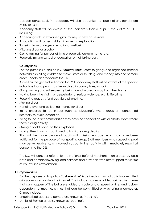appears consensual. The academy will also recognise that pupils of any gender are at risk of CCE.

Academy staff will be aware of the indicators that a pupil is the victim of CCE, including:

- Appearing with unexplained gifts, money or new possessions.
- Associating with other children involved in exploitation.
- Suffering from changes in emotional wellbeing.
- Misusing drugs or alcohol.
- Going missing for periods of time or regularly coming home late.
- Regularly missing school or education or not taking part.

## **County lines**

For the purposes of this policy, **"county lines"** refers to gangs and organised criminal networks exploiting children to move, store or sell drugs and money into one or more areas, locally and/or across the UK.

As well as the general indicators for CCE, academy staff will be aware of the specific indicators that a pupil may be involved in county lines, including:

- Going missing and subsequently being found in areas away from their home.
- Having been the victim or perpetrator of serious violence, e.g. knife crime.
- Receiving requests for drugs via a phone line.
- Moving drugs.
- Handing over and collecting money for drugs.
- Being exposed to techniques such as 'plugging', where drugs are concealed internally to avoid detection.
- Being found in accommodation they have no connection with or a hotel room where there is drug activity.
- Owing a 'debt bond' to their exploiters.
- Having their bank account used to facilitate drug dealing.

Staff will be made aware of pupils with missing episodes who may have been trafficked for the purpose of transporting drugs. Staff members who suspect a pupil may be vulnerable to, or involved in, county lines activity will immediately report all concerns to the DSL.

The DSL will consider referral to the National Referral Mechanism on a case-by-case basis and consider involving local services and providers who offer support to victims of county lines exploitation.

## **11. Cyber-crime**

For the purposes of this policy, **"cyber-crime"** is defined as criminal activity committed using computers and/or the internet. This includes 'cyber-enabled' crimes, i.e. crimes that can happen offline but are enabled at scale and at speed online, and 'cyberdependent' crimes, i.e. crimes that can be committed only by using a computer. Crimes include:

- Unauthorised access to computers, known as 'hacking'.
- Denial of Service attacks, known as 'booting'.

Safeguarding & Child Protection Policy V6.0 24 0ctober 2021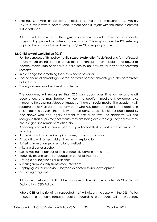• Making, supplying or obtaining malicious software, or 'malware', e.g. viruses, spyware, ransomware, botnets and Remote Access Trojans with the intent to commit further offence.

All staff will be aware of the signs of cyber-crime and follow the appropriate safeguarding procedures where concerns arise. This may include the DSL referring pupils to the National Crime Agency's Cyber Choices programme.

# **12. Child sexual exploitation (CSE)**

For the purposes of this policy, **"child sexual exploitation"** is defined as a form of sexual abuse where an individual or group takes advantage of an imbalance of power to coerce, manipulate or deceive a child into sexual activity, for any of the following reasons:

- In exchange for something the victim needs or wants
- For the financial advantage, increased status or other advantage of the perpetrator or facilitator
- Through violence or the threat of violence.

The academy will recognise that CSE can occur over time or be a one-off occurrence, and may happen without the pupil's immediate knowledge, e.g. through others sharing videos or images of them on social media. The academy will recognise that CSE can affect any pupil who has been coerced into engaging in sexual activities, even if the activity appears consensual; this includes pupils aged 16 and above who can legally consent to sexual activity. The academy will also recognise that pupils may not realise they are being exploited e.g. they believe they are in a genuine romantic relationship.

Academy staff will be aware of the key indicators that a pupil is the victim of CSE, including:

- Appearing with unexplained gifts, money or new possessions.
- Associating with other children involved in exploitation.
- Suffering from changes in emotional wellbeing.
- Misusing drugs or alcohol.
- Going missing for periods of time or regularly coming home late.
- Regularly missing school or education or not taking part.
- Having older boyfriends or girlfriends.
- Suffering from sexually transmitted infections.
- Displaying sexual behaviours beyond expected sexual development.
- Becoming pregnant.

All concerns related to CSE will be managed in line with the academy's Child Sexual Exploitation (CSE) Policy.

Where CSE, or the risk of it, is suspected, staff will discuss the case with the DSL. If after discussion a concern remains, local safeguarding procedures will be triggered,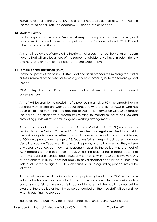including referral to the LA. The LA and all other necessary authorities will then handle the matter to conclusion. The academy will cooperate as needed.

## **13. Modern slavery**

For the purposes of this policy, **"modern slavery"** encompasses human trafficking and slavery, servitude, and forced or compulsory labour. This can include CCE, CSE, and other forms of exploitation.

All staff will be aware of and alert to the signs that a pupil may be the victim of modern slavery. Staff will also be aware of the support available to victims of modern slavery and how to refer them to the National Referral Mechanism.

## 14. **Female genital mutilation (FGM)**

For the purposes of this policy, **"FGM"** is defined as all procedures involving the partial or total removal of the external female genitalia or other injury to the female genital organs.

FGM is illegal in the UK and a form of child abuse with long-lasting harmful consequences.

All staff will be alert to the possibility of a pupil being at risk of FGM, or already having suffered FGM. If staff are worried about someone who is at risk of FGM or who has been a victim of FGM, they are required to share this information with CSCS and/or the police. The academy's procedures relating to managing cases of FGM and protecting pupils will reflect multi-agency working arrangements.

As outlined in Section 5B of the Female Genital Mutilation Act 2003 (as inserted by section 74 of the Serious Crime Act 2015), teachers are **legally required** to report to the police any discovery, whether through disclosure by the victim or visual evidence, of FGM on a pupil under the age of 18. Teachers failing to report such cases may face disciplinary action. Teachers will not examine pupils, and so it is rare that they will see any visual evidence, but they must personally report to the police where an act of FGM appears to have been carried out. Unless the teacher has a good reason not to, they should also consider and discuss any such case with the DSL and involve CSCS as appropriate. **N.B.** This does not apply to any suspected or at-risk cases, nor if the individual is over the age of 18. In such cases, local safeguarding procedures will be followed.

All staff will be aware of the indicators that pupils may be at risk of FGM. While some individual indicators they may not indicate risk, the presence of two or more indicators could signal a risk to the pupil. It is important to note that the pupil may not yet be aware of the practice or that it may be conducted on them, so staff will be sensitive when broaching the subject.

Indicators that a pupil may be at heightened risk of undergoing FGM include:

Safeguarding & Child Protection Policy V6.0 26 Correction Policy V6.0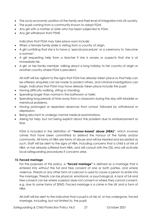- The socio-economic position of the family and their level of integration into UK society.
- The pupil coming from a community known to adopt FGM.
- Any girl with a mother or sister who has been subjected to FGM.
- Any girl withdrawn from PSHE.

Indicators that FGM may take place soon include:

- When a female family elder is visiting from a country of origin.
- A girl confiding that she is to have a 'special procedure' or a ceremony to 'become a woman'.
- A girl requesting help from a teacher if she is aware or suspects that she is at immediate risk.
- A girl, or her family member, talking about a long holiday to her country of origin or another country where FGM is prevalent.

All staff will be vigilant to the signs that FGM has already taken place so that help can be offered, enquiries can be made to protect others, and criminal investigations can begin. Indicators that FGM may have already taken place include the pupil:

- Having difficulty walking, sitting or standing.
- Spending longer than normal in the bathroom or toilet.
- Spending long periods of time away from a classroom during the day with bladder or menstrual problems.
- Having prolonged or repeated absences from school, followed by withdrawal or depression.
- Being reluctant to undergo normal medical examinations.
- Asking for help, but not being explicit about the problem due to embarrassment or fear.

FGM is included in the definition of **"'honour-based' abuse (HBA)"**, which involves crimes that have been committed to defend the honour of the family and/or community. All forms of HBA are forms of abuse and will be treated and escalated as such. Staff will be alert to the signs of HBA, including concerns that a child is at risk of HBA, or has already suffered from HBA, and will consult with the DSL who will activate local safeguarding procedures if concerns arise.

# **15. Forced marriage**

For the purposes of this policy, a **"forced marriage"** is defined as a marriage that is entered into without the full and free consent of one or both parties, and where violence, threats or any other form of coercion is used to cause a person to enter into the marriage. Threats can be physical, emotional, or psychological. A lack of full and free consent can be where a person does not consent or where they cannot consent, e.g. due to some forms of SEND. Forced marriage is a crime in the UK and a form of HBA.

All staff will be alert to the indicators that a pupil is at risk of, or has undergone, forced marriage, including, but not limited to, the pupil:

Safeguarding & Child Protection Policy V6.0 27 Cortober 2021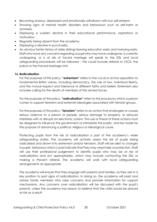- Becoming anxious, depressed and emotionally withdrawn with low self-esteem.
- Showing signs of mental health disorders and behaviours such as self-harm or anorexia.
- Displaying a sudden decline in their educational performance, aspirations or motivation.
- Regularly being absent from the academy.
- Displaying a decline in punctuality.
- An obvious family history of older siblings leaving education early and marrying early. Staff who have any concerns regarding a pupil who may have undergone, is currently undergoing, or is at risk of forced marriage will speak to the DSL and local safeguarding procedures will be followed – this could include referral to CSCS, the police or the Forced Marriage Unit.

## **16. Radicalisation**

For the purposes of this policy, **"extremism"** refers to the vocal or active opposition to fundamental British values, including democracy, the rule of law, individual liberty, and the mutual respect and tolerance of different faiths and beliefs. Extremism also includes calling for the death of members of the armed forces.

For the purposes of this policy, **"radicalisation"** refers to the process by which a person comes to support terrorism and extremist ideologies associated with terrorist groups.

For the purposes of this policy, **"terrorism"** refers to an action that endangers or causes serious violence to a person or people, serious damage to property, or seriously interferes with or disrupts an electronic system. The use or threat of these actions must be designed to influence the government or intimidate the public, and be made for the purpose of advancing a political, religious or ideological cause.

Protecting pupils from the risk of radicalisation is part of the academy's wider safeguarding duties. The academy will actively assess the risk of pupils being radicalised and drawn into extremism and/or terrorism. Staff will be alert to changes in pupils' behaviour which could indicate that they may need help or protection. Staff will use their professional judgement to identify pupils who may be at risk of radicalisation and act appropriately, which may include contacting the DSL or making a Prevent referral. The academy will work with local safeguarding arrangements as appropriate.

The academy will ensure that they engage with parents and families, as they are in a key position to spot signs of radicalisation. In doing so, the academy will assist and advise family members who raise concerns and provide information for support mechanisms. Any concerns over radicalisation will be discussed with the pupil's parents, unless the academy has reason to believe that the child would be placed at risk as a result.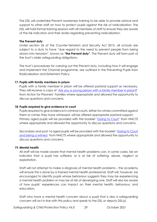The DSL will undertake Prevent awareness training to be able to provide advice and support to other staff on how to protect pupils against the risk of radicalisation. The DSL will hold formal training sessions with all members of staff to ensure they are aware of the risk indicators and their duties regarding preventing radicalisation.

## **The Prevent duty**

Under section 26 of the Counter-Terrorism and Security Act 2015, all schools are subject to a duty to have "due regard to the need to prevent people from being drawn into terrorism", known as **"the Prevent duty"**. The Prevent duty will form part of the trust's wider safeguarding obligations.

The trust's procedures for carrying out the Prevent duty, including how it will engage and implement the Channel programme, are outlined in the Preventing Pupils from Radicalisation and Extremism Policy.

# **17. Pupils with family members in prison**

Pupils with a family member in prison will be offered pastoral support as necessary. They will receive a copy of '[Are you a young person with a family member in prison?](https://www.nicco.org.uk/directory-of-resources)' from Action for Prisoners' Families where appropriate and allowed the opportunity to discuss questions and concerns.

## **18. Pupils required to give evidence in court**

Pupils required to give evidence in criminal courts, either for crimes committed against them or crimes they have witnessed, will be offered appropriate pastoral support. Primary aged pupils will be provided with the booklet '[Going to Court](https://www.gov.uk/government/publications/young-witness-booklet-for-5-to-11-year-olds)' from HMCTS where appropriate and allowed the opportunity to discuss questions and concerns.

Secondary and post-16 aged pupils will be provided with the booklet '[Going to Court](https://www.gov.uk/government/publications/young-witness-booklet-for-12-to-17-year-olds)  [and being a witness](https://www.gov.uk/government/publications/young-witness-booklet-for-12-to-17-year-olds)' from HMCTS where appropriate and allowed the opportunity to discuss questions and concerns.

# **19. Mental health**

All staff will be made aware that mental health problems can, in some cases, be an indicator that a pupil has suffered, or is at risk of suffering, abuse, neglect or exploitation.

Staff will not attempt to make a diagnosis of mental health problems – the academy will ensure this is done by a trained mental health professional. Staff will, however, be encouraged to identify pupils whose behaviour suggests they may be experiencing a mental health problem or may be at risk of developing one. Staff will also be aware of how pupils' experiences can impact on their mental health, behaviour, and education.

Staff who have a mental health concern about a pupil that is also a safeguarding concern will act in line with this policy and speak to the DSL or deputy DSL(s).

Safeguarding & Child Protection Policy V6.0 29 Corober 2021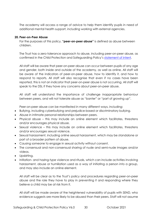The academy will access a range of advice to help them identify pupils in need of additional mental health support, including working with external agencies.

## **20. Peer-on-Peer Abuse**

For the purposes of this policy, **"peer-on-peer abuse"** is defined as abuse between children.

The Trust has a zero-tolerance approach to abuse, including peer-on-peer abuse, as confirmed in the Child Protection and Safeguarding Policy's statement of intent.

All staff will be aware that peer-on-peer abuse can occur between pupils of any age and gender, both inside and outside of the academy, as well as online. All staff will be aware of the indicators of peer-on-peer abuse, how to identify it, and how to respond to reports. All staff will also recognise that even if no cases have been reported, this is not an indicator that peer-on-peer abuse is not occurring. All staff will speak to the DSL if they have any concerns about peer-on-peer abuse.

All staff will understand the importance of challenge inappropriate behaviour between peers, and will not tolerate abuse as "banter" or "part of growing up".

Peer-on-peer abuse can be manifested in many different ways, including:

- Bullying, including cyberbullying and prejudice-based or discriminatory bullying.
- Abuse in intimate personal relationships between peers.
- Physical abuse this may include an online element which facilitates, threatens and/or encourages physical abuse.
- Sexual violence this may include an online element which facilitates, threatens and/or encourages sexual violence.
- Sexual harassment, including online sexual harassment, which may be standalone or part of a broader pattern of abuse.
- Causing someone to engage in sexual activity without consent.
- The consensual and non-consensual sharing of nude and semi-nude images and/or videos.
- Upskirting.
- Initiation- and hazing-type violence and rituals, which can include activities involving harassment, abuse or humiliation used as a way of initiating a person into a group, and may also include an online element.

All staff will be clear as to the Trust's policy and procedures regarding peer-on-peer abuse and the role they have to play in preventing it and responding where they believe a child may be at risk from it.

All staff will be made aware of the heightened vulnerability of pupils with SEND, who evidence suggests are more likely to be abused than their peers. Staff will not assume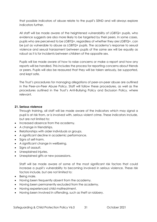that possible indicators of abuse relate to the pupil's SEND and will always explore indicators further.

All staff will be made aware of the heightened vulnerability of LGBTQ+ pupils, who evidence suggests are also more likely to be targeted by their peers. In some cases, pupils who are perceived to be LGBTQ+, regardless of whether they are LGBTQ+, can be just as vulnerable to abuse as LGBTQ+ pupils. The academy's response to sexual violence and sexual harassment between pupils of the same sex will be equally as robust as it is for incidents between children of the opposite sex.

Pupils will be made aware of how to raise concerns or make a report and how any reports will be handled. This includes the process for reporting concerns about friends or peers. Pupils will also be reassured that they will be taken seriously, be supported, and kept safe.

The Trust's procedures for managing allegations of peer-on-peer abuse are outlined in the Peer-on-Peer Abuse Policy. Staff will follow these procedures, as well as the procedures outlined in the Trust's Anti-Bullying Policy and Exclusion Policy, where relevant.

## **21. Serious violence**

Through training, all staff will be made aware of the indicators which may signal a pupil is at risk from, or is involved with, serious violent crime. These indicators include, but are not limited to:

- Increased absence from the academy.
- A change in friendships.
- Relationships with older individuals or groups.
- A significant decline in academic performance.
- Signs of self-harm.
- A significant change in wellbeing.
- Signs of assault.
- Unexplained injuries.
- Unexplained gifts or new possessions.

Staff will be made aware of some of the most significant risk factors that could increase a pupil's vulnerability to becoming involved in serious violence. These risk factors include, but are not limited to:

- Being male.
- Having been frequently absent from the academy.
- Having been permanently excluded from the academy.
- Having experienced child maltreatment.
- Having been involved in offending, such as theft or robbery.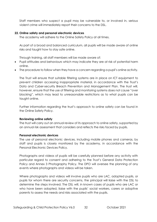Staff members who suspect a pupil may be vulnerable to, or involved in, serious violent crime will immediately report their concerns to the DSL.

#### <span id="page-32-0"></span>**22. Online safety and personal electronic devices**

The academy will adhere to the Online Safety Policy at all times.

As part of a broad and balanced curriculum, all pupils will be made aware of online risks and taught how to stay safe online.

Through training, all staff members will be made aware of:

- Pupil attitudes and behaviours which may indicate they are at risk of potential harm online.
- The procedure to follow when they have a concern regarding a pupil's online activity.

The Trust will ensure that suitable filtering systems are in place on ICT equipment to prevent children accessing inappropriate material, in accordance with the Trust's Data and Cyber-security Breach Prevention and Management Plan. The trust will, however, ensure that the use of filtering and monitoring systems does not cause "over blocking", which may lead to unreasonable restrictions as to what pupils can be taught online.

Further information regarding the trust's approach to online safety can be found in the Online Safety Policy.

## **Reviewing online safety**

The trust will carry out an annual review of its approach to online safety, supported by an annual risk assessment that considers and reflects the risks faced by pupils.

## **Personal electronic devices**

The use of personal electronic devices, including mobile phones and cameras, by staff and pupils is closely monitored by the academy, in accordance with the Personal Electronic Devices Policy.

Photographs and videos of pupils will be carefully planned before any activity with particular regard to consent and adhering to the Trust's General Data Protection Policy and Annex 3 Photography Policy. The DPO will oversee the planning of any events where photographs and videos will be taken.

Where photographs and videos will involve pupils who are LAC, adopted pupils, or pupils for whom there are security concerns, the principal will liaise with the DSL to determine the steps involved. The DSL will, in known cases of pupils who are LAC or who have been adopted, liaise with the pupils' social workers, carers or adoptive parents to assess the needs and risks associated with the pupils.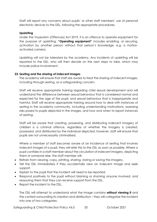Staff will report any concerns about pupils' or other staff members' use of personal electronic devices to the DSL, following the appropriate procedures.

## **Upskirting**

Under the Voyeurism (Offences) Act 2019, it is an offence to operate equipment for the purpose of upskirting. **"Operating equipment"** includes enabling, or securing, activation by another person without that person's knowledge, e.g. a motionactivated camera.

Upskirting will not be tolerated by the academy. Any incidents of upskirting will be reported to the DSL, who will then decide on the next steps to take, which may include police involvement.

## **23. Sexting and the sharing of indecent images**

The academy will ensure that staff are aware to treat the sharing of indecent images, including through sexting, as a safeguarding concern.

Staff will receive appropriate training regarding child sexual development and will understand the difference between sexual behaviour that is considered normal and expected for the age of the pupil, and sexual behaviour that is inappropriate and harmful. Staff will receive appropriate training around how to deal with instances of sexting in the academy community, including understanding motivations, assessing risks posed to pupils depicted in the images, and how and when to report instances of sexting.

Staff will be aware that creating, possessing, and distributing indecent imagery of children is a criminal offence, regardless of whether the imagery is created, possessed, and distributed by the individual depicted; however, staff will ensure that pupils are not unnecessarily criminalised.

Where a member of staff becomes aware of an incidence of sexting that involves indecent images of a pupil, they will refer this to the DSL as soon as possible. Where a pupil confides in a staff member about the circulation of indecent imagery, depicting them or someone else, the staff member will:

- Refrain from viewing, copy, printing, sharing, storing or saving the imagery.
- Tell the DSL immediately if they accidentally view an indecent image and seek support.
- Explain to the pupil that the incident will need to be reported.
- Respond positively to the pupil without blaming or shaming anyone involved, and reassuring them that they can receive support from the DSL.
- Report the incident to the DSL.

The DSL will attempt to understand what the image contains **without viewing it** and the context surrounding its creation and distribution – they will categorise the incident into one of two categories:

Safeguarding & Child Protection Policy V6.0 33 Cortober 2021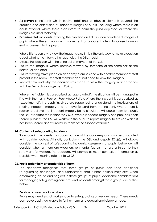- **Aggravated:** incidents which involve additional or abusive elements beyond the creation and distribution of indecent images of pupils, including where there is an adult involved, where there is an intent to harm the pupil depicted, or where the images are used recklessly.
- **Experimental:** incidents involving the creation and distribution of indecent images of pupils where there is no adult involvement or apparent intent to cause harm or embarrassment to the pupil.

Where it is necessary to view the imagery, e.g. if this is the only way to make a decision about whether to inform other agencies, the DSL should:

- Discuss this decision with the principal or member of the SLT.
- Ensure the image is, where possible, viewed by someone of the same sex as the individual depicted.
- Ensure viewing takes place on academy premises and with another member of staff present in the room – this staff member does not need to view the imagery.
- Record how and why the decision was made to view the imagery in accordance with the Records Management Policy.

Where the incident is categorised as 'aggravated', the situation will be managed in line with the trust's Peer-on-Peer Abuse Policy. Where the incident is categorised as 'experimental', the pupils involved are supported to understand the implications of sharing indecent imagery and to move forward from the incident. Where there is reason to believe that indecent imagery being circulated will cause harm to a pupil, the DSL escalates the incident to CSCS. Where indecent imagery of a pupil has been shared publicly, the DSL will work with the pupil to report imagery to sites on which it has been shared and will reassure them of the support available.

# **24. Context of safeguarding incidents**

Safeguarding incidents can occur outside of the academy and can be associated with outside factors. All staff, particularly the DSL and deputy DSL(s), will always consider the context of safeguarding incidents. Assessment of pupils' behaviour will consider whether there are wider environmental factors that are a threat to their safety and/or welfare. The academy will provide as much contextual information as possible when making referrals to CSCS.

## **25. Pupils potentially at greater risk of harm**

The academy recognises that some groups of pupils can face additional safeguarding challenges, and understands that further barriers may exist when determining abuse and neglect in these groups of pupils. Additional considerations for managing safeguarding concerns and incidents amongst these groups are outline below.

## **Pupils who need social workers**

Pupils may need social workers due to safeguarding or welfare needs. These needs can leave pupils vulnerable to further harm and educational disadvantage.

Safeguarding & Child Protection Policy V6.0 34 October 2021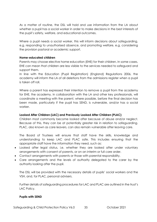As a matter of routine, the DSL will hold and use information from the LA about whether a pupil has a social worker in order to make decisions in the best interests of the pupil's safety, welfare, and educational outcomes.

Where a pupil needs a social worker, this will inform decisions about safeguarding, e.g. responding to unauthorised absence, and promoting welfare, e.g. considering the provision pastoral or academic support.

## **Home-educated children**

Parents may choose elective home education (EHE) for their children. In some cases, EHE can mean that children are less visible to the services needed to safeguard and support them.

In line with the Education (Pupil Registration) (England) Regulations 2006, the academy will inform the LA of all deletions from the admissions register when a pupil is taken off roll.

Where a parent has expressed their intention to remove a pupil from the academy for EHE, the academy, in collaboration with the LA and other key professionals, will coordinate a meeting with the parent, where possible, before the final decision has been made, particularly if the pupil has SEND, is vulnerable, and/or has a social worker.

# **Looked After Children (LAC) and Previously Looked After Children (PLAC)**

Children most commonly become looked after because of abuse and/or neglect. Because of this, they can be at potentially greater risk in relation to safeguarding. PLAC, also known as care leavers, can also remain vulnerable after leaving care.

The Board of Trustees will ensure that staff have the skills, knowledge and understanding to keep LAC and PLAC safe. This includes ensuring that the appropriate staff have the information they need, such as:

- Looked after legal status, i.e. whether they are looked after under voluntary arrangements with consent of parents, or on an interim or full care order.
- Contact arrangements with parents or those with parental responsibility.
- Care arrangements and the levels of authority delegated to the carer by the authority looking after the pupil.

The DSL will be provided with the necessary details of pupils' social workers and the VSH, and, for PLAC, personal advisers.

Further details of safeguarding procedures for LAC and PLAC are outlined in the trust's LAC Policy.

# **Pupils with SEND**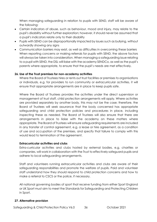When managing safeguarding in relation to pupils with SEND, staff will be aware of the following:

- Certain indicators of abuse, such as behaviour, mood and injury, may relate to the pupil's disability without further exploration; however, it should never be assumed that a pupil's indicators relate only to their disability
- Pupils with SEND can be disproportionally impacted by issues such as bullying, without outwardly showing any signs
- Communication barriers may exist, as well as difficulties in overcoming these barriers When reporting concerns or making referrals for pupils with SEND, the above factors will always be taken into consideration. When managing a safeguarding issue relating to a pupil with SEND, the DSL will liaise with the academy SENDCo, as well as the pupil's parents where appropriate, to ensure that the pupil's needs are met effectively.

## **26. Use of the Trust premises for non-academy activities**

Where the Board of Trustees hires or rents out trust facilities or premises to organisations or individuals, e.g. for providers to run community or extracurricular activities, it will ensure that appropriate arrangements are in place to keep pupils safe.

Where the Board of Trustees provides the activities under the direct supervision or management of trust staff, child protection arrangements will apply. Where activities are provided separately by another body, this may not be the case; therefore, the Board of Trustees will seek assurance that the body concerned has appropriate safeguarding and child protection policies and procedures in place, including inspecting these as needed. The Board of Trustees will also ensure that there are arrangements in place to liaise with the academy on these matters where appropriate. The Board of Trustees will ensure safeguarding requirements are included in any transfer of control agreement, e.g. a lease or hire agreement, as a condition of use and occupation of the premises, and specify that failure to comply with this would lead to termination of the agreement.

## **Extracurricular activities and clubs**

Extra-curricular activities and clubs hosted by external bodies, e.g. charities or companies, will work in collaboration with the Trust to effectively safeguard pupils and adhere to local safeguarding arrangements.

Staff and volunteers running extracurricular activities and clubs are aware of their safeguarding responsibilities and promote the welfare of pupils. Paid and volunteer staff understand how they should respond to child protection concerns and how to make a referral to CSCS or the police, if necessary.

All national governing bodies of sport that receive funding from either Sport England or UK Sport must aim to meet the Standards for Safeguarding and Protecting Children in Sport.

## **27. Alternative provision**

Safeguarding & Child Protection Policy V6.0 36 October 2021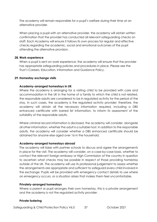The academy will remain responsible for a pupil's welfare during their time at an alternative provider.

When placing a pupil with an alternative provider, the academy will obtain written confirmation that the provider has conducted all relevant safeguarding checks on staff. Each Academy will ensure it follows its own process for regular and effective checks regarding the academic, social and emotional outcomes of the pupil attending the alternative provision.

## **28. Work experience**

When a pupil is sent on work experience, the academy will ensure that the provider has appropriate safeguarding policies and procedures in place. Please see the Trust's Careers, Education, Information and Guidance Policy.

## **29. Homestay exchange visits**

## **Academy-arranged homestays in UK**

Where the academy is arranging for a visiting child to be provided with care and accommodation in the UK in the home of a family to which the child is not related, the responsible adults are considered to be in regulated activity for the period of the stay. In such cases, the academy is the regulated activity provider; therefore, the academy will obtain all the necessary information required, including a DBS enhanced certificate with barred list information, to inform its assessment of the suitability of the responsible adults.

Where criminal record information is disclosed, the academy will consider, alongside all other information, whether the adult is a suitable host. In addition to the responsible adults, the academy will consider whether a DBS enhanced certificate should be obtained for anyone else aged over 16 in the household.

## **Academy-arranged homestays abroad**

The academy will liaise with partner schools to discuss and agree the arrangements in place for the visit. The academy will consider, on a case-by-case basis, whether to contact the relevant foreign embassy or High Commission of the country in question to ascertain what checks may be possible in respect of those providing homestay outside of the UK. The academy will use its professional judgement to assess whether the arrangements are appropriate and sufficient to safeguard every child involved in the exchange. Pupils will be provided with emergency contact details to use where an emergency occurs, or a situation arises that makes them feel uncomfortable.

## **Privately-arranged homestays**

Where a parent or pupil arranges their own homestay, this is a private arrangement and the academy is not the regulated activity provider.

## **Private fostering**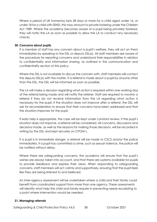Where a period of UK homestay lasts 28 days or more for a child aged under 16, or under 18 for a child with SEND, this may amount to private fostering under the Children Act 1989. Where the academy becomes aware of a pupil being privately fostered, they will notify the LA as soon as possible to allow the LA to conduct any necessary checks.

# **30. Concerns about pupils**

If a member of staff has any concern about a pupil's welfare, they will act on them immediately by speaking to the DSL or deputy DSL(s). All staff members are aware of the procedure for reporting concerns and understand their responsibilities in relation to confidentiality and information sharing, as outlined in the communication and confidentiality section of this policy.

Where the DSL is not available to discuss the concern with, staff members will contact the deputy DSL(s) with the matter. If a referral is made about a pupil by anyone other than the DSL, the DSL will be informed as soon as possible.

The LA will make a decision regarding what action is required within one working day of the referral being made and will notify the referrer. Staff are required to monitor a referral if they do not receive information from the LA regarding what action is necessary for the pupil. If the situation does not improve after a referral, the DSL will ask for reconsideration to ensure that their concerns have been addressed and that the situation improves for the pupil.

If early help is appropriate, the case will be kept under constant review. If the pupil's situation does not improve, a referral will be considered. All concerns, discussions and decisions made, as well as the reasons for making those decisions, will be recorded in writing by the DSL and kept securely on CPOM's.

If a pupil is in immediate danger, a referral will be made to CSCS and/or the police immediately. If a pupil has committed a crime, such as sexual violence, the police will be notified without delay.

Where there are safeguarding concerns, the academy will ensure that the pupil's wishes are always taken into account, and that there are systems available for pupils to provide feedback and express their views. When responding to safeguarding concerns, staff members will act calmly and supportively, ensuring that the pupil feels like they are being listened to and believed.

An inter-agency assessment will be undertaken where a child and their family could benefit from coordinated support from more than one agency. These assessments will identify what help the child and family require in preventing needs escalating to a point where intervention would be needed.

# **31. Managing referrals**

Safeguarding & Child Protection Policy V6.0 38 Cortober 2021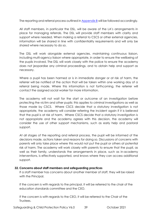The reporting and referral process outlined in **Appendix B** will be followed accordingly.

All staff members, in particular the DSL, will be aware of the LA's arrangements in place for managing referrals. The DSL will provide staff members with clarity and support where needed. When making a referral to CSCS or other external agencies, information will be shared in line with confidentiality requirements and will only be shared where necessary to do so.

The DSL will work alongside external agencies, maintaining continuous liaison, including multi-agency liaison where appropriate, in order to ensure the wellbeing of the pupils involved. The DSL will work closely with the police to ensure the academy does not jeopardise any criminal proceedings, and to obtain help and support as necessary.

Where a pupil has been harmed or is in immediate danger or at risk of harm, the referrer will be notified of the action that will be taken within one working day of a referral being made. Where this information is not forthcoming, the referrer will contact the assigned social worker for more information.

The academy will not wait for the start or outcome of an investigation before protecting the victim and other pupils: this applies to criminal investigations as well as those made by CSCS. Where CSCS decide that a statutory investigation is not appropriate, the academy will consider referring the incident again if it is believed that the pupil is at risk of harm. Where CSCS decide that a statutory investigation is not appropriate and the academy agrees with this decision, the academy will consider the use of other support mechanisms, such as early help and pastoral support.

At all stages of the reporting and referral process, the pupil will be informed of the decisions made, actions taken and reasons for doing so. Discussions of concerns with parents will only take place where this would not put the pupil or others at potential risk of harm. The academy will work closely with parents to ensure that the pupil, as well as their family, understands the arrangements in place, such as in-academy interventions, is effectively supported, and knows where they can access additional support.

## **32. Concerns about staff members and safeguarding practices**

If a staff member has concerns about another member of staff, they will be raised with the Principal.

If the concern is with regards to the principal, it will be referred to the chair of the education standards committee and the CEO.

If the concern is with regards to the CEO, it will be referred to the Chair of the Trustees.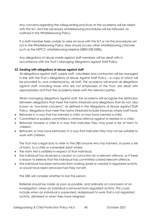Any concerns regarding the safeguarding practices at the academy will be raised with the SLT, and the necessary whistleblowing procedures will be followed, as outlined in the Whistleblowing Policy.

If a staff member feels unable to raise an issue with the SLT or via the procedures set out in the Whistleblowing Policy, they should access other whistleblowing channels such as the NSPCC whistleblowing helpline (0800 028 0285).

Any allegations of abuse made against staff members will be dealt with in accordance with the Trust's Managing Allegations against Staff Policy.

## **33. Dealing with allegations of abuse against staff**

All allegations against staff, supply staff, volunteers and contractors will be managed in line with the Trust's Allegations of Abuse Against Staff Policy – a copy of which will be provided to, and understood by, all staff. The academy will ensure all allegations against staff, including those who are not employees of the Trust, are dealt with appropriately and that the academy liaises with the relevant parties.

When managing allegations against staff, the academy will recognise the distinction between allegations that meet the harms threshold and allegations that do not, also known as "low-level concerns", as defined in the Allegations of Abuse Against Staff Policy. Allegations that meet the harms threshold include instances where staff have:

- Behaved in a way that has harmed a child, or may have harmed a child.
- Committed or possibly committed a criminal offence against or related to a child.
- Behaved towards a child in a way that indicates they may pose a risk of harm to children.
- Behaved, or may have behaved, in a way that indicates they may not be suitable to work with children.

The Trust has a legal duty to refer to the DBS anyone who has harmed, or poses a risk of harm, to a child or vulnerable adult where:

- the harm test is satisfied in respect of that individual.
- the individual has received a caution or conviction for a relevant offence, or if there is reason to believe that the individual has committed a listed relevant offence.
- the individual has been removed from working (paid or unpaid) in regulated activity, or would have been removed had they not left.

The DBS will consider whether to bar the person.

Referrals should be made as soon as possible, and ordinarily on conclusion of an investigation, when an individual is removed from regulated activity. This could include when an individual is suspended, redeployed to work that is not regulated activity, dismissed or when they have resigned.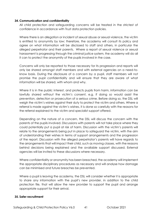#### **34. Communication and confidentiality**

All child protection and safeguarding concerns will be treated in the strictest of confidence in accordance with Trust data protection policies.

Where there is an allegation or incident of sexual abuse or sexual violence, the victim is entitled to anonymity by law; therefore, the academy will consult its policy and agree on what information will be disclosed to staff and others, in particular the alleged perpetrator and their parents. Where a report of sexual violence or sexual harassment is progressing through the criminal justice system, the academy will do all it can to protect the anonymity of the pupils involved in the case.

Concerns will only be reported to those necessary for its progression and reports will only be shared amongst staff members and with external agencies on a need-toknow basis. During the disclosure of a concern by a pupil, staff members will not promise the pupil confidentiality and will ensure that they are aware of what information will be shared, with whom and why.

Where it is in the public interest, and protects pupils from harm, information can be lawfully shared without the victim's consent, e.g. if doing so would assist the prevention, detection or prosecution of a serious crime. Before doing so, the DSL will weigh the victim's wishes against their duty to protect the victim and others. Where a referral is made against the victim's wishes, it is done so carefully with the reasons for the referral explained to the victim and specialist support offered.

Depending on the nature of a concern, the DSL will discuss the concern with the parents of the pupils involved. Discussions with parents will not take place where they could potentially put a pupil at risk of harm. Discussion with the victim's parents will relate to the arrangements being put in place to safeguard the victim, with the aim of understanding their wishes in terms of support arrangements and the progression of the report. Discussion with the alleged perpetrator's parents will have regards to the arrangements that will impact their child, such as moving classes, with the reasons behind decisions being explained and the available support discussed. External agencies will be invited to these discussions where necessary.

Where confidentiality or anonymity has been breached, the academy will implement the appropriate disciplinary procedures as necessary and will analyse how damage can be minimised and future breaches be prevented.

Where a pupil is leaving the academy, the DSL will consider whether it is appropriate to share any information with the pupil's new provider, in addition to the child protection file, that will allow the new provider to support the pupil and arrange appropriate support for their arrival.

## **35. Safer recruitment**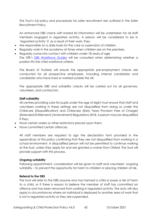The Trust's full policy and procedures for safer recruitment are outlined in the Safer Recruitment Policy.

An enhanced DBS check with barred list information will be undertaken for all staff members engaged in regulated activity. A person will be considered to be in 'regulated activity' if, as a result of their work, they:

- Are responsible on a daily basis for the care or supervision of children.
- Regularly work in the academy at times when children are on the premises.
- Regularly come into contact with children under 18 years of age. The DfE's [DBS Workforce Guides](https://www.gov.uk/government/publications/dbs-workforce-guidance) will be consulted when determining whether a position fits the child workforce criteria.

The Board of Trustees will ensure the appropriate pre-employment checks are conducted for all prospective employees, including internal candidates and candidates who have lived or worked outside the UK.

The appropriate DBS and suitability checks will be carried out for all governors, volunteers, and contractors.

## **Staff suitability**

All centres providing care for pupils under the age of eight must ensure that staff and volunteers working in these settings are not disqualified from doing so under the Childcare (Disqualification) and Childcare (Early Years Provision Free of Charge) (Extended Entitlement) (Amendment) Regulations 2018. A person may be disqualified if they:

- Have certain orders or other restrictions placed upon them.
- Have committed certain offences.

All staff members are required to sign the declaration form provided in the appendices of this policy confirming that they are not disqualified from working in a school environment. A disqualified person will not be permitted to continue working at the trust, unless they apply for and are granted a waiver from Ofsted. The trust will provide support with this process.

## **Ongoing suitability**

Following appointment, consideration will be given to staff and volunteers' ongoing suitability – to prevent the opportunity for harm to children or placing children at risk.

## **Referral to the DBS**

The trust will refer to the DBS anyone who has harmed a child or poses a risk of harm to a child, or if there is reason to believe the member of staff has committed an offence and has been removed from working in regulated activity. The duty will also apply in circumstances where an individual is deployed to another area of work that is not in regulated activity or they are suspended.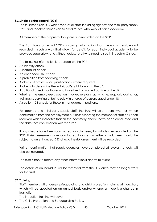## **36. Single central record (SCR)**

The trust keeps an SCR which records all staff, including agency and third-party supply staff, and teacher trainees on salaried routes, who work at each academy.

All members of the proprietor body are also recorded on the SCR.

The Trust holds a central SCR containing information that is easily accessible and recorded in such a way that allows for details for each individual academy to be provided separately, and without delay, to all who need to see it, including Ofsted.

The following information is recorded on the SCR:

- An identity check.
- A barred list check.
- An enhanced DBS check.
- A prohibition from teaching check.
- A check of professional qualifications, where required.
- A check to determine the individual's right to work in the UK.
- Additional checks for those who have lived or worked outside of the UK.
- Whether the employee's position involves relevant activity, i.e. regularly caring for, training, supervising or being solely in charge of persons aged under 18.
- A section 128 check for those in management positions.

For agency and third-party supply staff, the trust will also record whether written confirmation from the employment business supplying the member of staff has been received which indicates that all the necessary checks have been conducted and the date that confirmation was received.

If any checks have been conducted for volunteers, this will also be recorded on the SCR. If risk assessments are conducted to assess whether a volunteer should be subject to an enhanced DBS check, the risk assessment will be recorded.

Written confirmation that supply agencies have completed all relevant checks will also be included.

The trust is free to record any other information it deems relevant.

The details of an individual will be removed from the SCR once they no longer work for the trust.

## **37. Training**

Staff members will undergo safeguarding and child protection training at induction, which will be updated on an annual basis and/or whenever there is a change in legislation.

The induction training will cover:

• The Child Protection and Safeguarding Policy.

Safeguarding & Child Protection Policy V6.0 43 Cortober 2021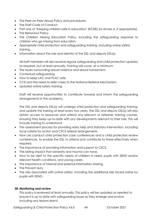- The Peer-on-Peer Abuse Policy and procedures.
- The Staff Code of Conduct.
- Part one of 'Keeping children safe in education' (KCSIE) (or Annex A, if appropriate).
- The Behaviour Policy.
- The Children Missing Education Policy, including the safeguarding response to children who go missing from education.
- Appropriate child protection and safeguarding training, including online safety training.
- Information about the role and identity of the DSL and deputy DSL(s).

All staff members will also receive regular safeguarding and child protection updates as required, but at least annually. Training will cover, at a minimum:

- The issues surrounding sexual violence and sexual harassment.
- Contextual safeguarding.
- How to keep LAC and PLAC safe.
- CCE and the need to refer cases to the National Referral Mechanism.
- Updated online safety training.

Staff will receive opportunities to contribute towards and inform the safeguarding arrangements in the academy.

The DSL and deputy DSL(s) will undergo child protection and safeguarding training, and update this training at least every two years. The DSL and deputy DSL(s) will also obtain access to resources and attend any relevant or refresher training courses, ensuring they keep up-to-date with any developments relevant to their role. This will include training to understand:

- The assessment process for providing early help and statutory intervention, including local criteria for action and CSCS referral arrangements.
- How LAs conduct child protection case conferences and a child protection review conferences, to enable the DSL to attend and contribute to these effectively when required.
- The importance of providing information and support to CSCS.
- The lasting impact that adversity and trauma can have.
- How to be alert to the specific needs of children in need, pupils with SEND and/or relevant health conditions, and young carers.
- The importance of internal and external information sharing.
- The Prevent duty.
- The risks associated with online safety, including the additional risks faced online by pupils with SEND.

# **38. Monitoring and review**

This policy is reviewed at least annually. This policy will be updated as needed to ensure it is up to date with safeguarding issues as they emerge and evolve, including any lessons learnt.

Safeguarding & Child Protection Policy V6.0 44 Cortober 2021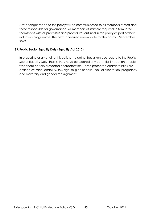Any changes made to this policy will be communicated to all members of staff and those responsible for governance. All members of staff are required to familiarise themselves with all processes and procedures outlined in this policy as part of their induction programme. The next scheduled review date for this policy is September 2022.

# **39. Public Sector Equality Duty (Equality Act 2010)**

In preparing or amending this policy, the author has given due regard to the Public Sector Equality Duty; that is, they have considered any potential impact on people who share certain protected characteristics. These protected characteristics are defined as: race, disability, sex, age, religion or belief, sexual orientation, pregnancy and maternity and gender reassignment.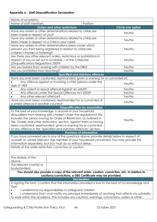# **Appendix a - Staff Disqualification Declaration**

| Name of academy:                                                                                                                                                                                                                                                                                                                                                                                                               |                                         |                          |  |  |
|--------------------------------------------------------------------------------------------------------------------------------------------------------------------------------------------------------------------------------------------------------------------------------------------------------------------------------------------------------------------------------------------------------------------------------|-----------------------------------------|--------------------------|--|--|
| Name of staff member:                                                                                                                                                                                                                                                                                                                                                                                                          | Position:                               |                          |  |  |
| <b>Orders and other restrictions</b>                                                                                                                                                                                                                                                                                                                                                                                           |                                         | <b>Circle one option</b> |  |  |
| Have any orders or other determinations related to childcare<br>been made in respect of you?                                                                                                                                                                                                                                                                                                                                   |                                         | Yes/No                   |  |  |
| Have any orders or other determinations related to childcare<br>been made in respect of a child in your care?                                                                                                                                                                                                                                                                                                                  |                                         | Yes/No                   |  |  |
| Have any orders or other determinations been made which<br>prevent you from being registered in relation to childcare,<br>children's homes or fostering?                                                                                                                                                                                                                                                                       | Yes/No                                  |                          |  |  |
| Are there any other relevant orders, restrictions or prohibitions in<br>respect of you as set out in Schedule 1 of the Childcare<br>(Disqualification) Regulations 2009?                                                                                                                                                                                                                                                       |                                         | Yes/No                   |  |  |
| Are you barred from working with children by the DBS?                                                                                                                                                                                                                                                                                                                                                                          |                                         | Yes/No                   |  |  |
| Are you prohibited from teaching?                                                                                                                                                                                                                                                                                                                                                                                              |                                         | Yes/No                   |  |  |
|                                                                                                                                                                                                                                                                                                                                                                                                                                | <b>Specified and statutory offences</b> |                          |  |  |
| Have you ever been cautioned, reprimanded, given a warning for or convicted of:                                                                                                                                                                                                                                                                                                                                                |                                         |                          |  |  |
| Any offence against or involving a child (person under the<br>age of 18)?                                                                                                                                                                                                                                                                                                                                                      |                                         | Yes/No                   |  |  |
| Any violent or sexual offence against an adult?                                                                                                                                                                                                                                                                                                                                                                                |                                         | Yes/No                   |  |  |
| Any offence under The Sexual Offences Act 2003?                                                                                                                                                                                                                                                                                                                                                                                |                                         | Yes/No                   |  |  |
| Any other relevant offence?                                                                                                                                                                                                                                                                                                                                                                                                    |                                         | Yes/No                   |  |  |
| Have you ever been cautioned, reprimanded for or convicted of<br>a similar offence in another country?                                                                                                                                                                                                                                                                                                                         |                                         | Yes/No                   |  |  |
|                                                                                                                                                                                                                                                                                                                                                                                                                                | <b>Disqualification by association</b>  |                          |  |  |
| To the best of your knowledge, is anyone in your household<br>disqualified from working with children under the regulations? This<br>includes the person having an Order of Restriction, as outlined in<br>Yes/No<br>the 'Orders and other restrictions' section, against them or having<br>been cautioned, reprimanded, given a warning for or convicted<br>of any offence in the 'Specified and statutory offences' section. |                                         |                          |  |  |
|                                                                                                                                                                                                                                                                                                                                                                                                                                | <b>Provision of information</b>         |                          |  |  |
| If you have answered yes to any of the questions above, provide details below in respect of<br>yourself, or, where relevant, the member of your household concerned. You may provide this<br>information separately, but you must do so without delay.                                                                                                                                                                         |                                         |                          |  |  |
| Details of the order restriction, conviction or caution:                                                                                                                                                                                                                                                                                                                                                                       |                                         |                          |  |  |
| The date(s) of the<br>above:                                                                                                                                                                                                                                                                                                                                                                                                   |                                         |                          |  |  |
| The relevant court(s) or<br>body/bodies):                                                                                                                                                                                                                                                                                                                                                                                      |                                         |                          |  |  |
| You should also provide a copy of the relevant order, caution, conviction, etc. In relation to                                                                                                                                                                                                                                                                                                                                 |                                         |                          |  |  |
| cautions/convictions, a DBS Certificate may be provided.<br><b>Declaration</b>                                                                                                                                                                                                                                                                                                                                                 |                                         |                          |  |  |
| In signing this form, I confirm that the information provided is true to the best of my knowledge and<br>that:                                                                                                                                                                                                                                                                                                                 |                                         |                          |  |  |
| I understand my responsibilities to safeguard children.<br>I understand that I must notify my principal immediately of anything that affects my suitability                                                                                                                                                                                                                                                                    |                                         |                          |  |  |
| to work within the academy. This includes any cautions, warnings, convictions, orders or other                                                                                                                                                                                                                                                                                                                                 |                                         |                          |  |  |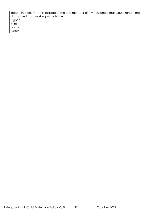| determinations made in respect of me or a member of my household that would render me |  |  |  |
|---------------------------------------------------------------------------------------|--|--|--|
| disqualified from working with children.                                              |  |  |  |
| Signed:                                                                               |  |  |  |
| Print                                                                                 |  |  |  |
| name:                                                                                 |  |  |  |
| Date:                                                                                 |  |  |  |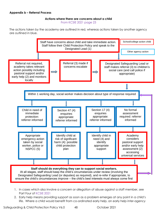## **Appendix b – Referral Process**

#### **Actions where there are concerns about a child** From KCSIE 2021 page 23

The actions taken by the academy are outlined in red, whereas actions taken by another agency are outlined in blue.



- 1. In cases which also involve a concern or allegation of abuse against a staff member, see Part Four of KCSIE 2021
- 2. Early help means providing support as soon as a problem emerges at any point in a child's life. Where a child would benefit from co-ordinated early help, an early help inter-agency

Safeguarding & Child Protection Policy V6.0 48 Correction Policy V6.0 48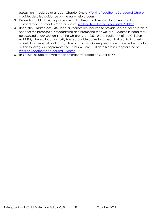assessment should be arranged. Chapter One of [Working Together to Safeguard Children](https://www.gov.uk/government/publications/working-together-to-safeguard-children--2) provides detailed guidance on the early help process.

- 3. Referrals should follow the process set out in the local threshold document and local protocol for assessment. Chapter one of [Working Together to Safeguard Children](https://www.gov.uk/government/publications/working-together-to-safeguard-children--2)
- 4. Under the Children Act 1989, local authorities are required to provide services for children in need for the purposes of safeguarding and promoting their welfare. Children in need may be assessed under section 17 of the Children Act 1989. Under section 47 of the Children Act 1989, where a local authority has reasonable cause to suspect that a child is suffering or likely to suffer significant harm, it has a duty to make enquiries to decide whether to take action to safeguard or promote the child's welfare. Full details are in Chapter One of [Working Together to Safeguard Children](https://www.gov.uk/government/publications/working-together-to-safeguard-children--2)
- 5. This could include applying for an Emergency Protection Order (EPO)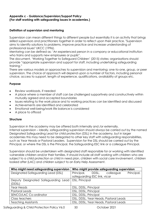# **Appendix c - Guidance/Supervision/Support Policy (For staff working with safeguarding issues in academies.)**

# **Definition of supervision and mentoring**

Supervision can mean different things to different people but essentially it is an activity that brings skilled supervisors and practitioners together in order to reflect upon their practice. "Supervision aims to identify solutions to problems, improve practice and increase understanding of professional issues" UKCC (1996).

Mentoring can be defined as: 'An experienced person in a company or educational institution who trains and supports new employees or pupils".

The document, 'Working Together to Safeguard Children' (2015) states; organisations should provide "appropriate supervision and support for staff, including undertaking safeguarding training."

There are various models or approaches to supervision and mentoring; one-to-one, group, or peer supervision. The choice of approach will depend upon a number of factors, including personal choice, access to support, length of experience, qualifications, availability of groups etc.

## **Purpose**

- Review workloads, if needed
- A place where a member of staff can be challenged supportively and constructively within mutually agreed and accepted boundaries
- Issues relating to the work place and to working practices can be identified and discussed
- Achievements are identified and celebrated
- Emotional well-being/work life balance is considered
- A place to offload

## **Structure**

Supervision in the academy may be offered both internally and /or externally. Internal supervision – Ideally, safeguarding supervision should always be carried out by the named Designated Safeguarding Lead for child protection (DSL) in the academy, but in larger academies this may need to be delegated to other key staff with safeguarding responsibilities, such as Year Heads or Pastoral Leaders. Supervision for the DSL should be carried out by the Principal, or where the DSL is the Principal, the Safeguarding ESC link or a colleague Principal.

Supervision should be undertaken with designated staff responsible for or working with identified vulnerable children and/or their families. It should include all staff working with children who are subject to a child protection or child in need plan, children with social care involvement, children looked after (LAC) and children subject to an Early Help Assessment.

| Who might need safeguarding supervision              | Who might provide safeguarding supervision  |  |  |  |
|------------------------------------------------------|---------------------------------------------|--|--|--|
| Designated Safeguarding Lead (DSL)                   | Principal,<br>Principal, DDSL,<br>colleague |  |  |  |
|                                                      | safeguarding ESC link, vicar                |  |  |  |
| Deputy Designated Safeguarding Lead   DSL, Principal |                                             |  |  |  |
| (DDSL)                                               |                                             |  |  |  |
| Year Heads                                           | DSL, DDSL, Principal                        |  |  |  |
| <b>Pastoral Leads</b>                                | DSL, DDSL, Principal                        |  |  |  |
| SENCO/LAC Co-ordinator                               | DSL, DDSL, Principal                        |  |  |  |
| Class teachers                                       | DSL, DDSL, Year Heads, Pastoral Leads       |  |  |  |
| <b>Teaching Assistants</b>                           | DSL, DDSL, Year Heads, Pastoral Leads       |  |  |  |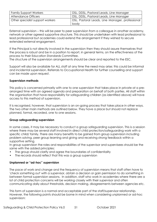| <b>Family Support Workers</b>    | DSL, DDSL, Pastoral Leads, Line Manager                 |  |  |
|----------------------------------|---------------------------------------------------------|--|--|
| Attendance Officers              | DSL, DDSL, Pastoral Leads, Line Manager                 |  |  |
| Other specialist support workers | DSL, Pastoral Leads, Line Manager, professional<br>body |  |  |

External supervision – this will be peer to peer supervision from a colleague in another academy, network or other agreed supportive structure. This should be undertaken with lead professional to lead professional but academies could extend the arrangement if they wished to secure extended external engagement.

If the Principal is not directly involved in the supervision then they should assure themselves that the process is robust and be in a position to report, in general terms, on the effectiveness of the process to their Education Standards Committee.

The structure of the supervision arrangements should be clear and reported to the ESC.

Support will also be available for ALL staff at any time the need may arise; this could be informal and incidental supervision. Referrals to Occupational Health for further counselling and support can be made upon request.

## **Supervision methods**

This policy is concerned primarily with one to one supervision that takes place in private at a prearranged time with an agreed agenda and preparation on behalf of both parties. All staff within the organisation that have responsibility for safeguarding children (as identified above) will have access to this method of supervision.

It is recognised, however, that supervision is an on-going process that takes place in other ways. The two other main methods are outlined below. They have a place but should not replace planned, formal, recorded, one to one sessions.

# **Group safeguarding supervision**

In some cases, it may be necessary to conduct a group safeguarding supervision. This is a session where there may be several staff involved in direct child protection/safeguarding work with a specific child/ family. There are many benefits to be gained from group supervision including problem solving, peer group learning and giving and receiving strong feedback within a supportive setting.

In group supervision the roles and responsibilities of the supervisor and supervisees should be the same with the added principles:

- The group should clarify and agree the boundaries of confidentiality
- The records should reflect that this was a group supervision

# **Unplanned or "ad-hoc" supervision**

The pace of work and change and the frequency of supervision means that staff often have to 'check something out' with a supervisor, obtain a decision or gain permission to do something in between formal supervision sessions. In addition, staff who work in academies where there are a lot of child protection concerns will be working closely with their supervisor and often communicating daily about thresholds, decision making, disagreements between agencies etc.

This form of supervision is a normal and acceptable part of the staff/supervisor relationship. However, the following points should be borne in mind when considering unplanned or ad-hoc supervision: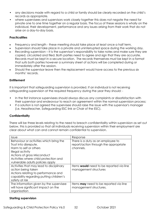- any decisions made with regard to a child or family should be clearly recorded on the child's records as appropriate.
- where supervisees and supervisors work closely together this does not negate the need for private one to one time together on a regular basis. The focus of these sessions is wholly on the individual, their development, performance and any issues arising from their work that do not arise on a day-to-day basis.

# **Practicalities**

- Frequency and length these meeting should take place at least once a half term.
- Supervision should take place in a private and uninterrupted space during the working day.
- Recording supervision It is the supervisor's responsibility to take notes and make sure they are copied, circulated and filed. Both parties need to agree and sign that they are accurate. Records must be kept in a secure location. The records themselves must be kept in a format that suits both parties however a summary sheet of actions will be completed during or immediately after the session.
- Should the supervisor leave then the replacement would have access to the previous six months' records.

## **Entitlement**

It is important that safeguarding supervision is provided. If an individual is not receiving safeguarding supervision at the required frequency during the year they should: -

- In the first instance supervisees should always discuss any complaints or dissatisfaction with their supervisor and endeavour to reach an agreement within the normal supervision process;
- If a solution is not agreed the supervisee should raise the issue with the supervisor's manager (i.e. Headteacher, Safeguarding ESC link or Chair of the ESC).

# **Confidentiality**

There will be three levels relating to the need to breach confidentiality within supervision as set out below, this is provided so that all individuals receiving supervision within their employment are clear about what can and cannot remain confidential to supervision.

| <i><u><b>Issue</b></u></i>                                                                                                                                                                                                 | Response                                                                                |
|----------------------------------------------------------------------------------------------------------------------------------------------------------------------------------------------------------------------------|-----------------------------------------------------------------------------------------|
| Behaviour or activities which bring the<br>Trust into disrepute.<br>Harm to self or others<br>Illegal activity<br>Actions of gross Misconduct<br>Activities where child protection and<br>vulnerable adults policies apply | There is a duty as an employee to<br>report/action through the appropriate<br>channels. |
| Activities that may lead to disciplinary<br>action being taken<br>Actions relating to performance and<br>capability regarding putting children's<br>safety at risk                                                         | Items would need to be reported via line<br>management structures                       |
| The information given by the supervisee<br>will have significant impact on the<br>organisation                                                                                                                             | Items <b>may</b> need to be reported via line<br>management structures.                 |

## **Starting supervision**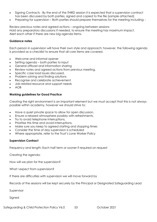- Signing Contracts By the end of the *THIRD* session it is expected that a supervision contract has been discussed by both parties, signed and copied to the file (sample attached)
- Preparing for supervision Both parties should prepare themselves for the meeting including: -

Review previous notes and agreed actions – ongoing between sessions Hold any preparatory discussions if needed, to ensure the meeting has maximum impact. Alert each other if there are new big agenda items.

#### **Guidance notes**

Each person in supervision will have their own style and approach: however, the following agenda is provided as a checklist to ensure that all core items are covered.

- Welcome and informal opener
- Setting agenda both parties to input
- General offload and information sharing
- Review notes and agreed actions from previous meeting.
- Specific case load issues discussed.
- Problem solving and finding solutions
- Recognise and celebrate achievement
- Job related resource and support needs
- AOB

#### **Working guidelines for Good Practice**

Creating the right environment is an important element but we must accept that this is not always possible within academy, however we should strive to:

- Have a quiet private space to allow for open discussion,
- Ensure a relaxed atmosphere possibly with refreshments,
- Try to avoid telephone interruptions,
- Prioritise this time and avoid interruptions,
- Make sure you keep to agreed starting and stopping times
- Consider the time of day supervision is scheduled
- Where appropriate, refer to the Trust's Lone Worker Policy

#### **Supervision Contract**

Frequency and length: Each half term or sooner if required on request

Creating the agenda:

How will we plan for the supervision?

What I expect from supervision?

If there are difficulties with supervision we will move forward by

Records of the sessions will be kept securely by the Principal or Designated Safeguarding Lead

Supervisor

Signed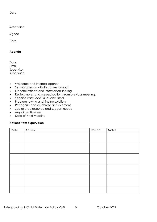Date

Supervisee

Signed

Date

# **Agenda**

Date Time Supervisor Supervisee

- Welcome and informal opener
- Setting agenda both parties to input
- General offload and information sharing
- Review notes and agreed actions from previous meeting.
- Specific case load issues discussed.
- Problem solving and finding solutions
- Recognise and celebrate achievement
- Job related resource and support needs
- Any Other Business
- Date of Next Meeting

## **Actions from Supervision**

| Date | Action | Person | Notes |
|------|--------|--------|-------|
|      |        |        |       |
|      |        |        |       |
|      |        |        |       |
|      |        |        |       |
|      |        |        |       |
|      |        |        |       |
|      |        |        |       |
|      |        |        |       |
|      |        |        |       |
|      |        |        |       |
|      |        |        |       |
|      |        |        |       |
|      |        |        |       |
|      |        |        |       |
|      |        |        |       |
|      |        |        |       |